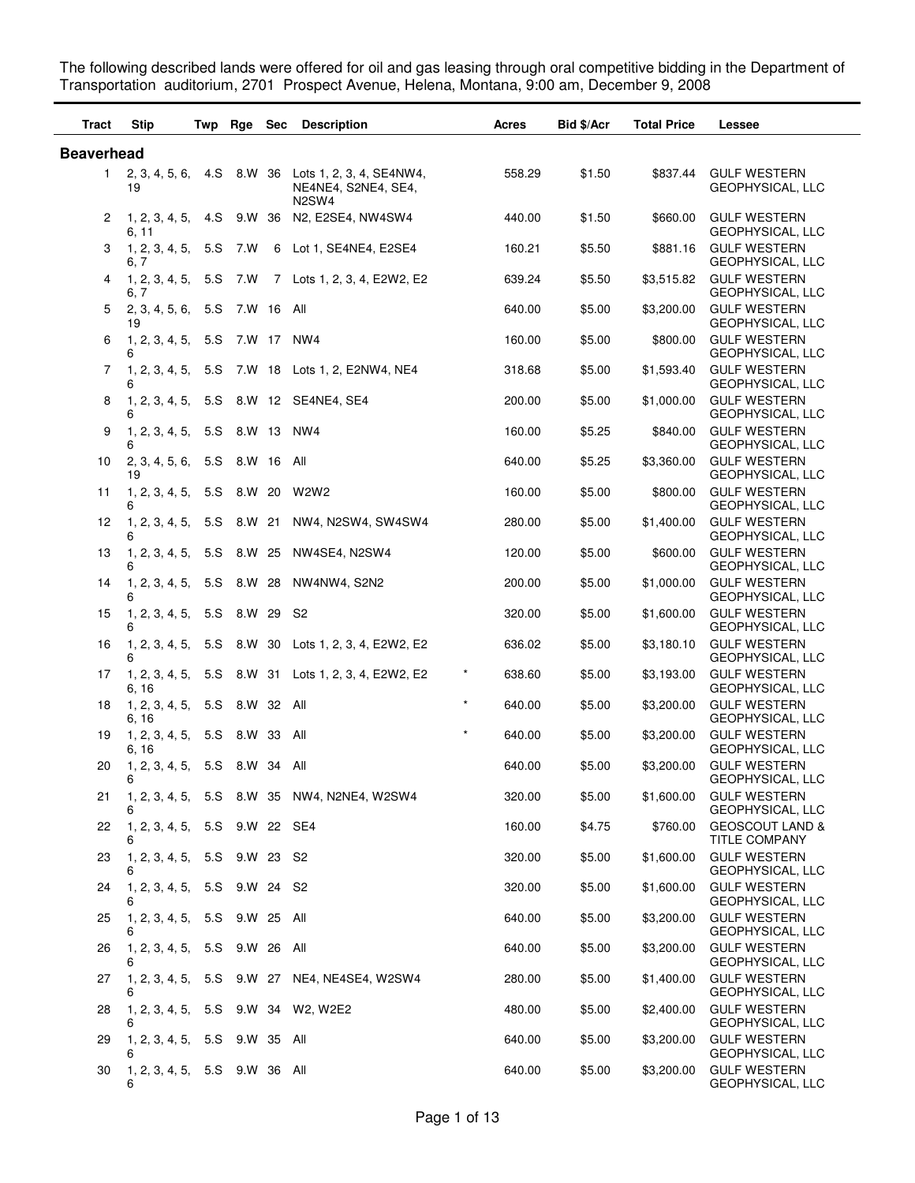The following described lands were offered for oil and gas leasing through oral competitive bidding in the Department of Transportation auditorium, 2701 Prospect Avenue, Helena, Montana, 9:00 am, December 9, 2008

| <b>Tract</b>      | <b>Stip</b>                             |     | Twp Rge Sec |            | <b>Description</b>                                                                   | Acres             | Bid \$/Acr | <b>Total Price</b> | Lessee                                             |
|-------------------|-----------------------------------------|-----|-------------|------------|--------------------------------------------------------------------------------------|-------------------|------------|--------------------|----------------------------------------------------|
| <b>Beaverhead</b> |                                         |     |             |            |                                                                                      |                   |            |                    |                                                    |
| $\mathbf{1}$      | 19                                      |     |             |            | 2, 3, 4, 5, 6, 4. S 8. W 36 Lots 1, 2, 3, 4, SE4NW4,<br>NE4NE4, S2NE4, SE4,<br>N2SW4 | 558.29            | \$1.50     | \$837.44           | <b>GULF WESTERN</b><br>GEOPHYSICAL, LLC            |
| 2                 | 6, 11                                   |     |             |            | 1, 2, 3, 4, 5, 4. S 9. W 36 N 2, E2SE4, NW4SW4                                       | 440.00            | \$1.50     | \$660.00           | <b>GULF WESTERN</b><br>GEOPHYSICAL, LLC            |
| 3                 | 1, 2, 3, 4, 5, 5.<br>6, 7               |     | 7.W         |            | 6 Lot 1, SE4NE4, E2SE4                                                               | 160.21            | \$5.50     | \$881.16           | <b>GULF WESTERN</b><br>GEOPHYSICAL, LLC            |
| 4                 | 1, 2, 3, 4, 5, 5.<br>6, 7               |     | 7.W         |            | 7 Lots 1, 2, 3, 4, E2W2, E2                                                          | 639.24            | \$5.50     | \$3,515.82         | <b>GULF WESTERN</b><br>GEOPHYSICAL, LLC            |
| 5                 | 2, 3, 4, 5, 6,<br>19                    | 5.S |             | 7.W 16 All |                                                                                      | 640.00            | \$5.00     | \$3,200.00         | <b>GULF WESTERN</b><br>GEOPHYSICAL, LLC            |
| 6                 | 1, 2, 3, 4, 5, 5.S 7.W 17 NW4<br>6      |     |             |            |                                                                                      | 160.00            | \$5.00     | \$800.00           | <b>GULF WESTERN</b><br>GEOPHYSICAL, LLC            |
| 7                 | 1, 2, 3, 4, 5,<br>6                     | 5.S |             |            | 7.W 18 Lots 1, 2, E2NW4, NE4                                                         | 318.68            | \$5.00     | \$1,593.40         | <b>GULF WESTERN</b><br>GEOPHYSICAL, LLC            |
| 8                 | 6                                       |     |             |            | 1, 2, 3, 4, 5, 5. S 8. W 12 SE4NE4, SE4                                              | 200.00            | \$5.00     | \$1,000.00         | <b>GULF WESTERN</b><br>GEOPHYSICAL, LLC            |
| 9                 | 1, 2, 3, 4, 5, 5.S 8.W 13 NW4<br>6      |     |             |            |                                                                                      | 160.00            | \$5.25     | \$840.00           | <b>GULF WESTERN</b><br><b>GEOPHYSICAL, LLC</b>     |
| 10                | 2, 3, 4, 5, 6, 5.S 8.W 16 All<br>19     |     |             |            |                                                                                      | 640.00            | \$5.25     | \$3,360.00         | <b>GULF WESTERN</b><br>GEOPHYSICAL, LLC            |
| 11                | 1, 2, 3, 4, 5,<br>6                     |     |             |            | 5.S 8.W 20 W2W2                                                                      | 160.00            | \$5.00     | \$800.00           | <b>GULF WESTERN</b><br><b>GEOPHYSICAL, LLC</b>     |
| 12                | 1, 2, 3, 4, 5,<br>6                     |     |             |            | 5.S 8.W 21 NW4, N2SW4, SW4SW4                                                        | 280.00            | \$5.00     | \$1,400.00         | <b>GULF WESTERN</b><br>GEOPHYSICAL, LLC            |
| 13                | 1, 2, 3, 4, 5, 5.S 8.W 25<br>6          |     |             |            | NW4SE4, N2SW4                                                                        | 120.00            | \$5.00     | \$600.00           | <b>GULF WESTERN</b><br>GEOPHYSICAL, LLC            |
| 14                | 1, 2, 3, 4, 5, 5.S 8.W 28<br>6          |     |             |            | NW4NW4, S2N2                                                                         | 200.00            | \$5.00     | \$1,000.00         | <b>GULF WESTERN</b><br>GEOPHYSICAL, LLC            |
| 15                | 1, 2, 3, 4, 5,<br>6                     | 5.S | 8.W 29      |            | S2                                                                                   | 320.00            | \$5.00     | \$1,600.00         | <b>GULF WESTERN</b><br>GEOPHYSICAL, LLC            |
| 16                | 6                                       |     |             |            | 1, 2, 3, 4, 5, 5.S 8.W 30 Lots 1, 2, 3, 4, E2W2, E2                                  | 636.02            | \$5.00     | \$3,180.10         | <b>GULF WESTERN</b><br>GEOPHYSICAL, LLC            |
| 17                | 6, 16                                   |     |             |            | 1, 2, 3, 4, 5, 5.S 8.W 31 Lots 1, 2, 3, 4, E2W2, E2                                  | $\star$<br>638.60 | \$5.00     | \$3,193.00         | <b>GULF WESTERN</b><br>GEOPHYSICAL, LLC            |
| 18                | 1, 2, 3, 4, 5, 5.S 8.W 32 All<br>6, 16  |     |             |            |                                                                                      | $\star$<br>640.00 | \$5.00     | \$3,200.00         | <b>GULF WESTERN</b><br>GEOPHYSICAL, LLC            |
| 19                | 1, 2, 3, 4, 5, 5.S 8.W 33<br>6, 16      |     |             |            | All                                                                                  | $\star$<br>640.00 | \$5.00     | \$3,200.00         | <b>GULF WESTERN</b><br>GEOPHYSICAL, LLC            |
| 20                | 1, 2, 3, 4, 5, 5.S 8.W 34 All<br>6      |     |             |            |                                                                                      | 640.00            | \$5.00     | \$3,200.00         | <b>GULF WESTERN</b><br>GEOPHYSICAL, LLC            |
| 21                | 6                                       |     |             |            | 1, 2, 3, 4, 5, 5.S 8.W 35 NW4, N2NE4, W2SW4                                          | 320.00            | \$5.00     | \$1,600.00         | <b>GULF WESTERN</b><br>GEOPHYSICAL, LLC            |
| 22                | 1, 2, 3, 4, 5, 5.S 9.W 22 SE4<br>6      |     |             |            |                                                                                      | 160.00            | \$4.75     | \$760.00           | <b>GEOSCOUT LAND &amp;</b><br><b>TITLE COMPANY</b> |
| 23                | 1, 2, 3, 4, 5, 5.S 9.W 23 S2            |     |             |            |                                                                                      | 320.00            | \$5.00     | \$1,600.00         | <b>GULF WESTERN</b><br><b>GEOPHYSICAL, LLC</b>     |
| 24                | 1, 2, 3, 4, 5, 5.S 9.W 24 S2            |     |             |            |                                                                                      | 320.00            | \$5.00     | \$1,600.00         | <b>GULF WESTERN</b><br>GEOPHYSICAL, LLC            |
| 25                | 1, 2, 3, 4, 5, 5.S 9.W 25 All<br>6      |     |             |            |                                                                                      | 640.00            | \$5.00     | \$3,200.00         | <b>GULF WESTERN</b><br>GEOPHYSICAL, LLC            |
| 26                | 1, 2, 3, 4, 5, 5.S 9.W 26 All<br>6      |     |             |            |                                                                                      | 640.00            | \$5.00     | \$3,200.00         | <b>GULF WESTERN</b><br>GEOPHYSICAL, LLC            |
| 27                |                                         |     |             |            | 1, 2, 3, 4, 5, 5.S 9.W 27 NE4, NE4SE4, W2SW4                                         | 280.00            | \$5.00     | \$1,400.00         | <b>GULF WESTERN</b><br>GEOPHYSICAL, LLC            |
| 28                | 1, 2, 3, 4, 5, 5.S 9.W 34 W2, W2E2<br>6 |     |             |            |                                                                                      | 480.00            | \$5.00     | \$2,400.00         | <b>GULF WESTERN</b><br>GEOPHYSICAL, LLC            |
| 29                | 1, 2, 3, 4, 5, 5.S 9.W 35 All<br>6      |     |             |            |                                                                                      | 640.00            | \$5.00     | \$3,200.00         | <b>GULF WESTERN</b><br>GEOPHYSICAL, LLC            |
| 30                | 1, 2, 3, 4, 5, 5.S 9.W 36 All<br>6      |     |             |            |                                                                                      | 640.00            | \$5.00     | \$3,200.00         | <b>GULF WESTERN</b><br>GEOPHYSICAL, LLC            |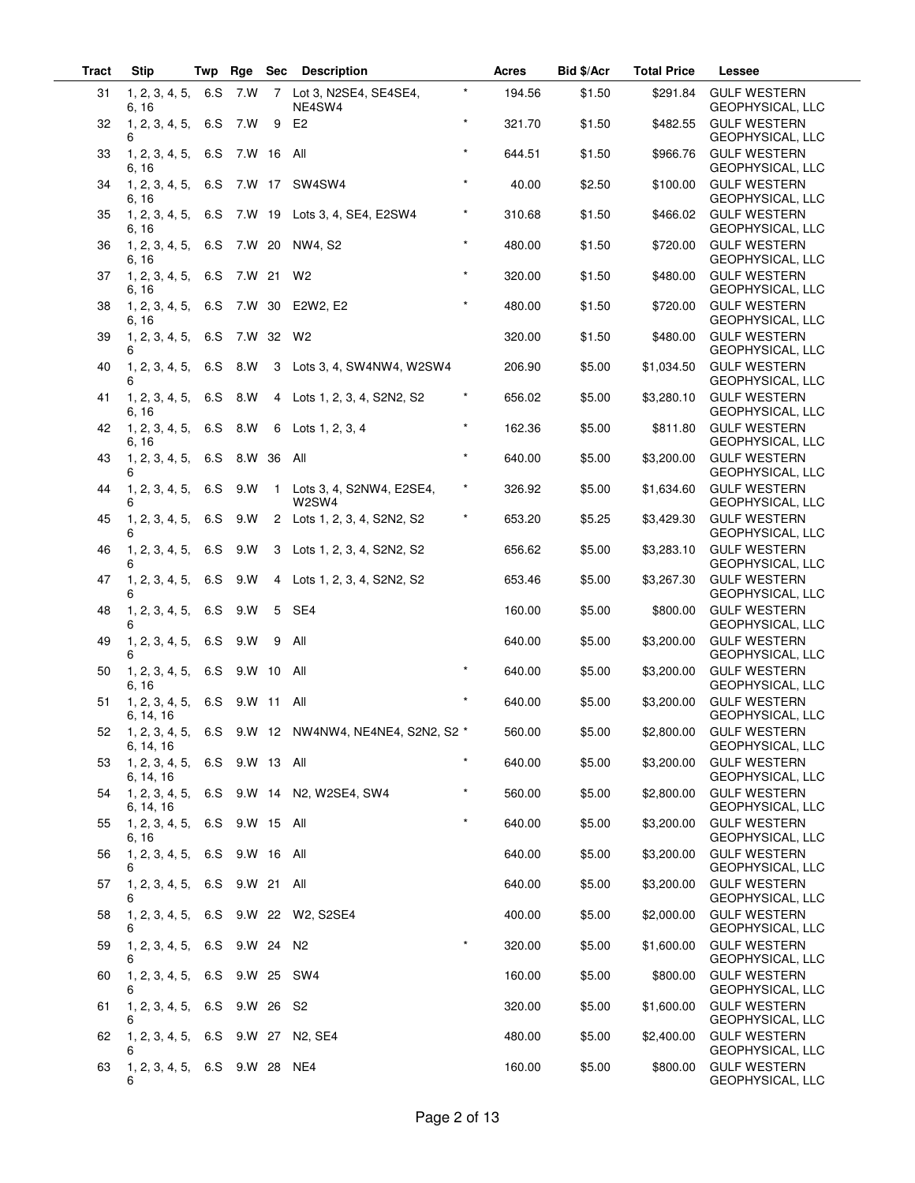| Tract | <b>Stip</b>                                | Twp | Rge        | Sec | <b>Description</b>                                      |          | Acres  | Bid \$/Acr | <b>Total Price</b> | Lessee                                      |
|-------|--------------------------------------------|-----|------------|-----|---------------------------------------------------------|----------|--------|------------|--------------------|---------------------------------------------|
| 31    | 1, 2, 3, 4, 5,<br>6, 16                    | 6.S | 7.W        |     | 7 Lot 3, N2SE4, SE4SE4,<br>NE4SW4                       | $\star$  | 194.56 | \$1.50     | \$291.84           | <b>GULF WESTERN</b><br>GEOPHYSICAL, LLC     |
| 32    | 1, 2, 3, 4, 5,<br>6                        | 6.S | 7.W        | 9   | E <sub>2</sub>                                          | $\star$  | 321.70 | \$1.50     | \$482.55           | <b>GULF WESTERN</b><br>GEOPHYSICAL, LLC     |
| 33    | 1, 2, 3, 4, 5,<br>6, 16                    | 6.S | 7.W 16     |     | All                                                     | $\star$  | 644.51 | \$1.50     | \$966.76           | <b>GULF WESTERN</b><br>GEOPHYSICAL, LLC     |
| 34    | 1, 2, 3, 4, 5, 6. S<br>6, 16               |     |            |     | 7.W 17 SW4SW4                                           | $\star$  | 40.00  | \$2.50     | \$100.00           | <b>GULF WESTERN</b><br>GEOPHYSICAL, LLC     |
| 35    | 1, 2, 3, 4, 5, 6. S<br>6, 16               |     |            |     | 7.W 19 Lots 3, 4, SE4, E2SW4                            | $\star$  | 310.68 | \$1.50     | \$466.02           | <b>GULF WESTERN</b><br>GEOPHYSICAL, LLC     |
| 36    | 1, 2, 3, 4, 5,<br>6, 16                    | 6.S |            |     | 7.W 20 NW4, S2                                          | $\star$  | 480.00 | \$1.50     | \$720.00           | <b>GULF WESTERN</b><br>GEOPHYSICAL, LLC     |
| 37    | 1, 2, 3, 4, 5, 6. S<br>6, 16               |     | 7.W 21     |     | W <sub>2</sub>                                          | $\star$  | 320.00 | \$1.50     | \$480.00           | <b>GULF WESTERN</b><br>GEOPHYSICAL, LLC     |
| 38    | 1, 2, 3, 4, 5,<br>6, 16                    | 6.S | 7.W 30     |     | E2W2, E2                                                | $\star$  | 480.00 | \$1.50     | \$720.00           | <b>GULF WESTERN</b><br>GEOPHYSICAL, LLC     |
| 39    | 1, 2, 3, 4, 5,<br>6                        | 6.S | 7.W 32 W2  |     |                                                         |          | 320.00 | \$1.50     | \$480.00           | <b>GULF WESTERN</b><br>GEOPHYSICAL, LLC     |
| 40    | 1, 2, 3, 4, 5,<br>6                        | 6.S | 8.W        |     | 3 Lots 3, 4, SW4NW4, W2SW4                              |          | 206.90 | \$5.00     | \$1,034.50         | <b>GULF WESTERN</b><br>GEOPHYSICAL, LLC     |
| 41    | 1, 2, 3, 4, 5,<br>6. 16                    | 6.S | 8.W        |     | 4 Lots 1, 2, 3, 4, S2N2, S2                             | $^\star$ | 656.02 | \$5.00     | \$3,280.10         | <b>GULF WESTERN</b><br>GEOPHYSICAL, LLC     |
| 42    | 1, 2, 3, 4, 5,<br>6, 16                    | 6.S | 8.W        |     | 6 Lots 1, 2, 3, 4                                       | $\star$  | 162.36 | \$5.00     | \$811.80           | <b>GULF WESTERN</b><br>GEOPHYSICAL, LLC     |
| 43    | 1, 2, 3, 4, 5,<br>6                        | 6.S | 8.W 36     |     | All                                                     | $\star$  | 640.00 | \$5.00     | \$3,200.00         | <b>GULF WESTERN</b><br>GEOPHYSICAL, LLC     |
| 44    | 1, 2, 3, 4, 5,<br>6                        | 6.S | 9.W        |     | 1 Lots 3, 4, S2NW4, E2SE4,<br>W2SW4                     | $^\star$ | 326.92 | \$5.00     | \$1,634.60         | <b>GULF WESTERN</b><br>GEOPHYSICAL, LLC     |
| 45    | 1, 2, 3, 4, 5,<br>6                        | 6.S | 9.W        |     | 2 Lots 1, 2, 3, 4, S2N2, S2                             | $\star$  | 653.20 | \$5.25     | \$3,429.30         | <b>GULF WESTERN</b><br>GEOPHYSICAL, LLC     |
| 46    | 1, 2, 3, 4, 5,<br>6                        | 6.S | 9.W        |     | 3 Lots 1, 2, 3, 4, S2N2, S2                             |          | 656.62 | \$5.00     | \$3,283.10         | <b>GULF WESTERN</b><br>GEOPHYSICAL, LLC     |
| 47    | 1, 2, 3, 4, 5,                             | 6.S | 9. W       |     | 4 Lots 1, 2, 3, 4, S2N2, S2                             |          | 653.46 | \$5.00     | \$3,267.30         | <b>GULF WESTERN</b><br>GEOPHYSICAL, LLC     |
| 48    | 1, 2, 3, 4, 5,<br>6                        | 6.S | 9.W        | 5   | SE4                                                     |          | 160.00 | \$5.00     | \$800.00           | <b>GULF WESTERN</b><br>GEOPHYSICAL, LLC     |
| 49    | 1, 2, 3, 4, 5,<br>6                        | 6.S | 9.W        | 9   | All                                                     |          | 640.00 | \$5.00     | \$3,200.00         | <b>GULF WESTERN</b><br>GEOPHYSICAL, LLC     |
| 50    | 1, 2, 3, 4, 5,<br>6, 16                    | 6.S | 9. W 10    |     | All                                                     | $\star$  | 640.00 | \$5.00     | \$3,200.00         | <b>GULF WESTERN</b><br>GEOPHYSICAL, LLC     |
| 51    | 1, 2, 3, 4, 5,<br>6, 14, 16                |     | 6.S 9.W 11 |     | All                                                     | $\star$  | 640.00 | \$5.00     | \$3,200.00         | <b>GULF WESTERN</b><br>GEOPHYSICAL, LLC     |
|       | 6, 14, 16                                  |     |            |     | 52 1, 2, 3, 4, 5, 6.S 9.W 12 NW4NW4, NE4NE4, S2N2, S2 * |          | 560.00 | \$5.00     |                    | \$2,800.00 GULF WESTERN<br>GEOPHYSICAL, LLC |
| 53    | 1, 2, 3, 4, 5, 6.S 9.W 13 All<br>6, 14, 16 |     |            |     |                                                         | $\star$  | 640.00 | \$5.00     | \$3,200.00         | <b>GULF WESTERN</b><br>GEOPHYSICAL, LLC     |
| 54    | 1, 2, 3, 4, 5,<br>6, 14, 16                |     |            |     | 6.S 9.W 14 N2, W2SE4, SW4                               | $^\star$ | 560.00 | \$5.00     | \$2,800.00         | <b>GULF WESTERN</b><br>GEOPHYSICAL, LLC     |
| 55    | 1, 2, 3, 4, 5, 6.S 9.W 15 All<br>6.16      |     |            |     |                                                         | $\star$  | 640.00 | \$5.00     | \$3,200.00         | <b>GULF WESTERN</b><br>GEOPHYSICAL, LLC     |
| 56    | 1, 2, 3, 4, 5, 6.S 9.W 16 All<br>6         |     |            |     |                                                         |          | 640.00 | \$5.00     | \$3,200.00         | <b>GULF WESTERN</b><br>GEOPHYSICAL, LLC     |
| 57    | 1, 2, 3, 4, 5, 6.S 9.W 21 All<br>6         |     |            |     |                                                         |          | 640.00 | \$5.00     | \$3,200.00         | <b>GULF WESTERN</b><br>GEOPHYSICAL, LLC     |
| 58    |                                            |     |            |     | 1, 2, 3, 4, 5, 6.S 9.W 22 W2, S2SE4                     |          | 400.00 | \$5.00     | \$2,000.00         | <b>GULF WESTERN</b><br>GEOPHYSICAL, LLC     |
| 59    | 1, 2, 3, 4, 5, 6.S 9.W 24 N2<br>6          |     |            |     |                                                         | $\star$  | 320.00 | \$5.00     | \$1,600.00         | <b>GULF WESTERN</b><br>GEOPHYSICAL, LLC     |
| 60    | 1, 2, 3, 4, 5, 6.S 9.W 25 SW4<br>6         |     |            |     |                                                         |          | 160.00 | \$5.00     | \$800.00           | <b>GULF WESTERN</b><br>GEOPHYSICAL, LLC     |
| 61    | 1, 2, 3, 4, 5, 6.S 9.W 26 S2               |     |            |     |                                                         |          | 320.00 | \$5.00     | \$1,600.00         | <b>GULF WESTERN</b><br>GEOPHYSICAL, LLC     |
| 62    | 1, 2, 3, 4, 5, 6.S 9.W 27 N2, SE4          |     |            |     |                                                         |          | 480.00 | \$5.00     | \$2,400.00         | <b>GULF WESTERN</b><br>GEOPHYSICAL, LLC     |
| 63    | 1, 2, 3, 4, 5, 6.S 9.W 28 NE4<br>6         |     |            |     |                                                         |          | 160.00 | \$5.00     | \$800.00           | <b>GULF WESTERN</b><br>GEOPHYSICAL, LLC     |

 $\overline{\phantom{0}}$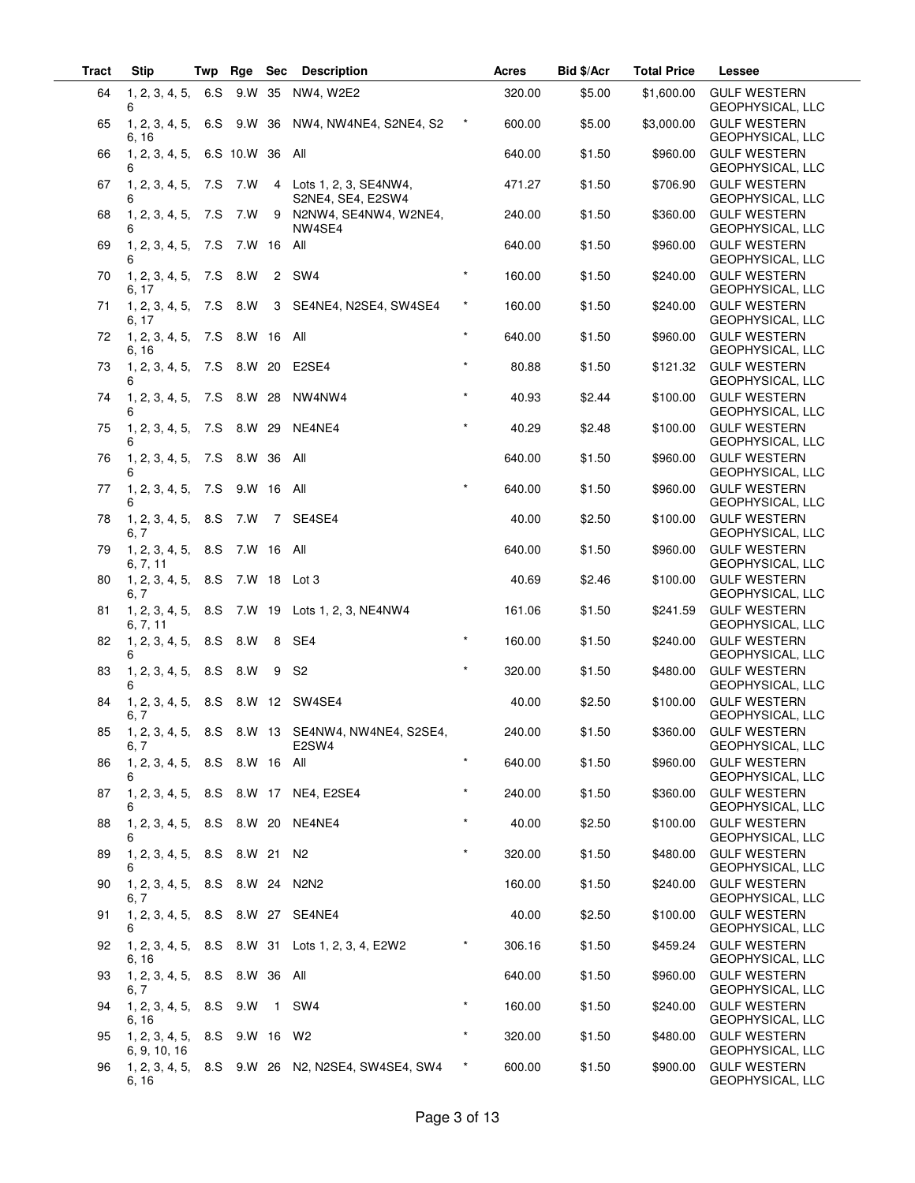| Tract | <b>Stip</b>                                  | Twp | Rge         | <b>Sec</b>   | <b>Description</b>                                        |                    | Acres  | Bid \$/Acr | <b>Total Price</b> | Lessee                                    |
|-------|----------------------------------------------|-----|-------------|--------------|-----------------------------------------------------------|--------------------|--------|------------|--------------------|-------------------------------------------|
| 64    | 1, 2, 3, 4, 5,<br>6                          | 6.S | 9.W 35      |              | NW4, W2E2                                                 |                    | 320.00 | \$5.00     | \$1,600.00         | <b>GULF WESTERN</b><br>GEOPHYSICAL, LLC   |
| 65    | 1, 2, 3, 4, 5,<br>6, 16                      | 6.S | 9.W         | 36           | NW4, NW4NE4, S2NE4, S2                                    |                    | 600.00 | \$5.00     | \$3,000.00         | <b>GULF WESTERN</b><br>GEOPHYSICAL, LLC   |
| 66    | 1, 2, 3, 4, 5,<br>6                          |     | 6.S 10.W 36 |              | All                                                       |                    | 640.00 | \$1.50     | \$960.00           | <b>GULF WESTERN</b><br>GEOPHYSICAL, LLC   |
| 67    | 1, 2, 3, 4, 5, 7.S 7.W<br>6                  |     |             |              | 4 Lots 1, 2, 3, SE4NW4,<br>S2NE4, SE4, E2SW4              |                    | 471.27 | \$1.50     | \$706.90           | <b>GULF WESTERN</b><br>GEOPHYSICAL, LLC   |
| 68    | 1, 2, 3, 4, 5,<br>6                          | 7.S | 7.W         |              | 9 N2NW4, SE4NW4, W2NE4,<br>NW4SE4                         |                    | 240.00 | \$1.50     | \$360.00           | <b>GULF WESTERN</b><br>GEOPHYSICAL, LLC   |
| 69    | 1, 2, 3, 4, 5,<br>6                          | 7.S | 7.W 16 All  |              |                                                           |                    | 640.00 | \$1.50     | \$960.00           | <b>GULF WESTERN</b><br>GEOPHYSICAL, LLC   |
| 70    | 1, 2, 3, 4, 5, 7.S<br>6, 17                  |     | 8.W         | $\mathbf{2}$ | SW4                                                       | $\star$            | 160.00 | \$1.50     | \$240.00           | <b>GULF WESTERN</b><br>GEOPHYSICAL, LLC   |
| 71    | 1, 2, 3, 4, 5, 7.S<br>6, 17                  |     | 8.W         | 3            | SE4NE4, N2SE4, SW4SE4                                     | $^\star$           | 160.00 | \$1.50     | \$240.00           | <b>GULF WESTERN</b><br>GEOPHYSICAL, LLC   |
| 72    | 1, 2, 3, 4, 5, 7.S 8.W 16<br>6, 16           |     |             |              | All                                                       | $\star$            | 640.00 | \$1.50     | \$960.00           | <b>GULF WESTERN</b><br>GEOPHYSICAL, LLC   |
| 73    | 1, 2, 3, 4, 5, 7.S<br>6                      |     | 8.W 20      |              | E2SE4                                                     | $\star$            | 80.88  | \$1.50     | \$121.32           | <b>GULF WESTERN</b><br>GEOPHYSICAL, LLC   |
| 74    | 1, 2, 3, 4, 5, 7.S<br>6                      |     | 8.W 28      |              | NW4NW4                                                    | $\star$            | 40.93  | \$2.44     | \$100.00           | <b>GULF WESTERN</b><br>GEOPHYSICAL, LLC   |
| 75    | 1, 2, 3, 4, 5,<br>6                          | 7.S | 8.W 29      |              | NE4NE4                                                    |                    | 40.29  | \$2.48     | \$100.00           | <b>GULF WESTERN</b><br>GEOPHYSICAL, LLC   |
| 76    | 1, 2, 3, 4, 5,<br>6                          | 7.S | 8.W 36      |              | All                                                       |                    | 640.00 | \$1.50     | \$960.00           | <b>GULF WESTERN</b><br>GEOPHYSICAL, LLC   |
| 77    | 1, 2, 3, 4, 5, 7.S<br>6                      |     | 9.W 16 All  |              |                                                           |                    | 640.00 | \$1.50     | \$960.00           | <b>GULF WESTERN</b><br>GEOPHYSICAL, LLC   |
| 78    | 1, 2, 3, 4, 5, 8. S<br>6, 7                  |     | 7.W         |              | 7 SE4SE4                                                  |                    | 40.00  | \$2.50     | \$100.00           | <b>GULF WESTERN</b><br>GEOPHYSICAL, LLC   |
| 79    | 1, 2, 3, 4, 5, 8. S<br>6, 7, 11              |     | 7.W 16 All  |              |                                                           |                    | 640.00 | \$1.50     | \$960.00           | <b>GULF WESTERN</b><br>GEOPHYSICAL, LLC   |
| 80    | 1, 2, 3, 4, 5, 8. S<br>6, 7                  |     |             |              | 7.W 18 Lot 3                                              |                    | 40.69  | \$2.46     | \$100.00           | <b>GULF WESTERN</b><br>GEOPHYSICAL, LLC   |
| 81    | 1, 2, 3, 4, 5, 8. S<br>6, 7, 11              |     |             |              | 7.W 19 Lots 1, 2, 3, NE4NW4                               |                    | 161.06 | \$1.50     | \$241.59           | <b>GULF WESTERN</b><br>GEOPHYSICAL, LLC   |
| 82    | 1, 2, 3, 4, 5,<br>6                          | 8.S | 8.W         | 8            | SE4                                                       | $\star$            | 160.00 | \$1.50     | \$240.00           | <b>GULF WESTERN</b><br>GEOPHYSICAL, LLC   |
| 83    | 1, 2, 3, 4, 5,<br>6                          | 8.S | 8.W         | 9            | S <sub>2</sub>                                            | $\star$            | 320.00 | \$1.50     | \$480.00           | <b>GULF WESTERN</b><br>GEOPHYSICAL, LLC   |
| 84    | 1, 2, 3, 4, 5, 8. S<br>6, 7                  |     |             |              | 8.W 12 SW4SE4                                             |                    | 40.00  | \$2.50     | \$100.00           | <b>GULF WESTERN</b><br>GEOPHYSICAL, LLC   |
| 85    | 6, 7                                         |     |             |              | 1, 2, 3, 4, 5, 8.S 8.W 13 SE4NW4, NW4NE4, S2SE4,<br>E2SW4 |                    | 240.00 | \$1.50     |                    | \$360.00 GULF WESTERN<br>GEOPHYSICAL, LLC |
| 86    | 1, 2, 3, 4, 5, 8.S 8.W 16 All<br>6           |     |             |              |                                                           | $\star$            | 640.00 | \$1.50     | \$960.00           | <b>GULF WESTERN</b><br>GEOPHYSICAL, LLC   |
| 87    | 6                                            |     |             |              | 1, 2, 3, 4, 5, 8.S 8.W 17 NE4, E2SE4                      | $\star$<br>$\star$ | 240.00 | \$1.50     | \$360.00           | <b>GULF WESTERN</b><br>GEOPHYSICAL, LLC   |
| 88    | 1, 2, 3, 4, 5, 8.S 8.W 20 NE4NE4             |     |             |              |                                                           | $\star$            | 40.00  | \$2.50     | \$100.00           | <b>GULF WESTERN</b><br>GEOPHYSICAL, LLC   |
| 89    | 1, 2, 3, 4, 5, 8.S 8.W 21 N2<br>6            |     |             |              |                                                           |                    | 320.00 | \$1.50     | \$480.00           | <b>GULF WESTERN</b><br>GEOPHYSICAL, LLC   |
| 90    | 1, 2, 3, 4, 5, 8.S 8.W 24 N2N2<br>6, 7       |     |             |              |                                                           |                    | 160.00 | \$1.50     | \$240.00           | <b>GULF WESTERN</b><br>GEOPHYSICAL, LLC   |
| 91    | 1, 2, 3, 4, 5, 8.S 8.W 27 SE4NE4<br>6        |     |             |              |                                                           |                    | 40.00  | \$2.50     | \$100.00           | <b>GULF WESTERN</b><br>GEOPHYSICAL, LLC   |
| 92    | 6, 16                                        |     |             |              | 1, 2, 3, 4, 5, 8.S 8.W 31 Lots 1, 2, 3, 4, E2W2           | $\star$            | 306.16 | \$1.50     | \$459.24           | <b>GULF WESTERN</b><br>GEOPHYSICAL, LLC   |
| 93    | 1, 2, 3, 4, 5, 8.S 8.W 36 All<br>6, 7        |     |             |              |                                                           |                    | 640.00 | \$1.50     | \$960.00           | <b>GULF WESTERN</b><br>GEOPHYSICAL, LLC   |
| 94    | $1, 2, 3, 4, 5, 8.S$ 9.W<br>6, 16            |     |             |              | 1 SW4                                                     | $\star$            | 160.00 | \$1.50     | \$240.00           | <b>GULF WESTERN</b><br>GEOPHYSICAL, LLC   |
| 95    | 1, 2, 3, 4, 5, 8.S 9.W 16 W2<br>6, 9, 10, 16 |     |             |              |                                                           | $\star$            | 320.00 | \$1.50     | \$480.00           | <b>GULF WESTERN</b><br>GEOPHYSICAL, LLC   |
| 96    | 6, 16                                        |     |             |              | 1, 2, 3, 4, 5, 8.S 9.W 26 N2, N2SE4, SW4SE4, SW4          | $^\star$           | 600.00 | \$1.50     | \$900.00           | <b>GULF WESTERN</b><br>GEOPHYSICAL, LLC   |

 $\overline{\phantom{a}}$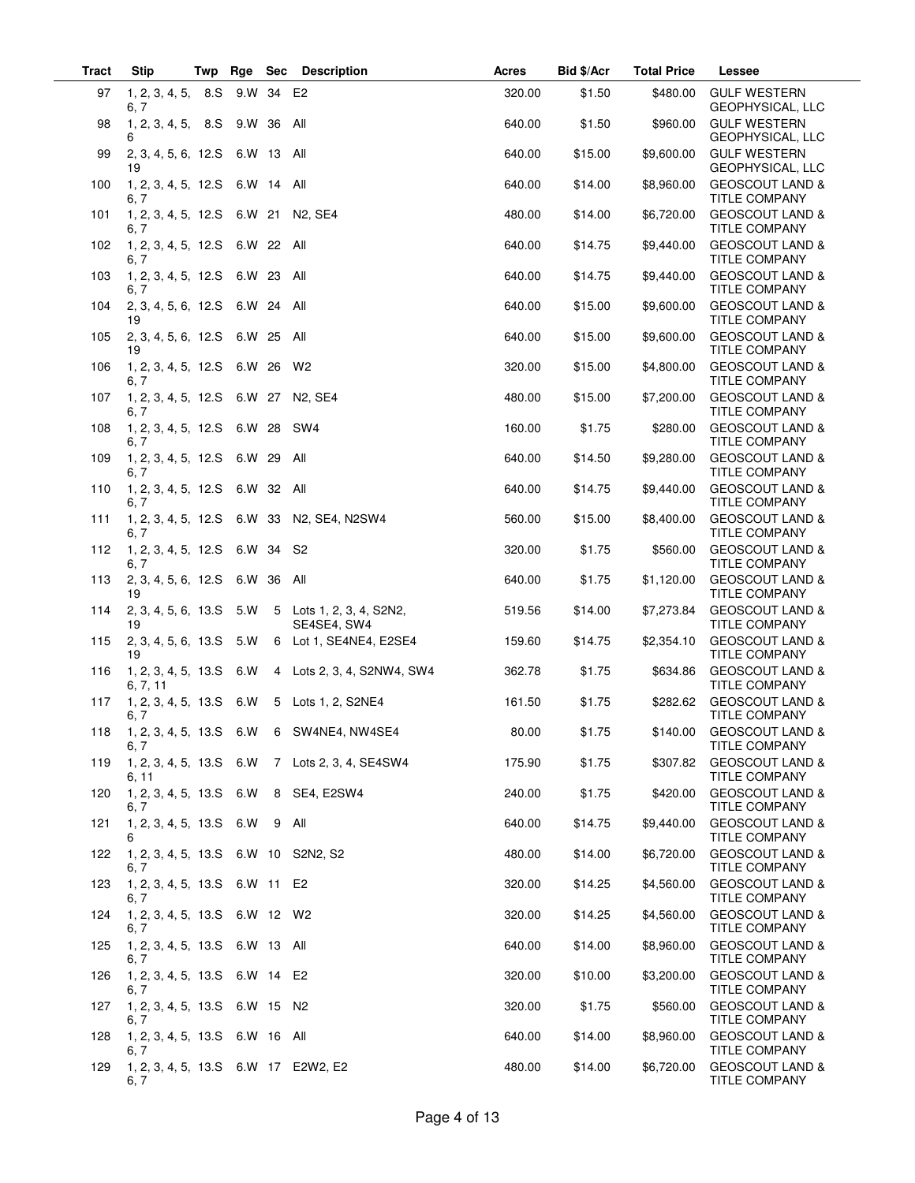| <b>Tract</b> | <b>Stip</b><br>Twp                           | Rge Sec |            | <b>Description</b>                               | Acres  | Bid \$/Acr | <b>Total Price</b> | Lessee                                             |
|--------------|----------------------------------------------|---------|------------|--------------------------------------------------|--------|------------|--------------------|----------------------------------------------------|
| 97           | 1, 2, 3, 4, 5, 8. S<br>6, 7                  |         | 9.W 34 E2  |                                                  | 320.00 | \$1.50     | \$480.00           | <b>GULF WESTERN</b><br>GEOPHYSICAL, LLC            |
| 98           | 1, 2, 3, 4, 5, 8. S<br>6                     | 9.W 36  |            | All                                              | 640.00 | \$1.50     | \$960.00           | <b>GULF WESTERN</b><br>GEOPHYSICAL, LLC            |
| 99           | 2, 3, 4, 5, 6, 12. S<br>19                   | 6.W 13  |            | All                                              | 640.00 | \$15.00    | \$9,600.00         | <b>GULF WESTERN</b><br>GEOPHYSICAL, LLC            |
| 100          | 1, 2, 3, 4, 5, 12. S 6. W 14 All<br>6. 7     |         |            |                                                  | 640.00 | \$14.00    | \$8,960.00         | <b>GEOSCOUT LAND &amp;</b><br><b>TITLE COMPANY</b> |
| 101          | 1, 2, 3, 4, 5, 12.S 6.W 21 N2, SE4<br>6, 7   |         |            |                                                  | 480.00 | \$14.00    | \$6,720.00         | <b>GEOSCOUT LAND &amp;</b><br><b>TITLE COMPANY</b> |
| 102          | 1, 2, 3, 4, 5, 12. S<br>6, 7                 | 6.W 22  |            | All                                              | 640.00 | \$14.75    | \$9,440.00         | <b>GEOSCOUT LAND &amp;</b><br><b>TITLE COMPANY</b> |
| 103          | 1, 2, 3, 4, 5, 12. S<br>6, 7                 | 6.W 23  |            | All                                              | 640.00 | \$14.75    | \$9,440.00         | <b>GEOSCOUT LAND &amp;</b><br><b>TITLE COMPANY</b> |
| 104          | 2, 3, 4, 5, 6, 12. S<br>19                   | 6.W 24  |            | All                                              | 640.00 | \$15.00    | \$9,600.00         | <b>GEOSCOUT LAND &amp;</b><br>TITLE COMPANY        |
| 105          | 2, 3, 4, 5, 6, 12. S<br>19                   | 6.W 25  |            | All                                              | 640.00 | \$15.00    | \$9,600.00         | <b>GEOSCOUT LAND &amp;</b><br><b>TITLE COMPANY</b> |
| 106          | 1, 2, 3, 4, 5, 12. S<br>6, 7                 | 6.W 26  |            | W2                                               | 320.00 | \$15.00    | \$4,800.00         | <b>GEOSCOUT LAND &amp;</b><br><b>TITLE COMPANY</b> |
| 107          | 1, 2, 3, 4, 5, 12.S 6.W 27 N2, SE4<br>6, 7   |         |            |                                                  | 480.00 | \$15.00    | \$7,200.00         | <b>GEOSCOUT LAND &amp;</b><br><b>TITLE COMPANY</b> |
| 108          | 1, 2, 3, 4, 5, 12. S<br>6. 7                 | 6.W 28  |            | SW <sub>4</sub>                                  | 160.00 | \$1.75     | \$280.00           | <b>GEOSCOUT LAND &amp;</b><br><b>TITLE COMPANY</b> |
| 109          | 1, 2, 3, 4, 5, 12. S<br>6, 7                 | 6.W 29  |            | All                                              | 640.00 | \$14.50    | \$9,280.00         | <b>GEOSCOUT LAND &amp;</b><br><b>TITLE COMPANY</b> |
| 110          | 1, 2, 3, 4, 5, 12.S<br>6. 7                  |         | 6.W 32 All |                                                  | 640.00 | \$14.75    | \$9,440.00         | <b>GEOSCOUT LAND &amp;</b><br><b>TITLE COMPANY</b> |
| 111          | 6, 7                                         |         |            | 1, 2, 3, 4, 5, 12.S 6.W 33 N2, SE4, N2SW4        | 560.00 | \$15.00    | \$8,400.00         | <b>GEOSCOUT LAND &amp;</b><br>TITLE COMPANY        |
| 112          | 1, 2, 3, 4, 5, 12.S<br>6, 7                  | 6.W 34  |            | S2                                               | 320.00 | \$1.75     | \$560.00           | <b>GEOSCOUT LAND &amp;</b><br><b>TITLE COMPANY</b> |
| 113          | 2, 3, 4, 5, 6, 12. S<br>19                   | 6.W 36  |            | All                                              | 640.00 | \$1.75     | \$1,120.00         | <b>GEOSCOUT LAND &amp;</b><br>TITLE COMPANY        |
| 114          | 2, 3, 4, 5, 6, 13.5<br>19                    | 5.W     |            | 5 Lots 1, 2, 3, 4, S2N2,<br>SE4SE4, SW4          | 519.56 | \$14.00    | \$7,273.84         | <b>GEOSCOUT LAND &amp;</b><br><b>TITLE COMPANY</b> |
| 115          | 2, 3, 4, 5, 6, 13. S<br>19                   | 5.W     |            | 6 Lot 1, SE4NE4, E2SE4                           | 159.60 | \$14.75    | \$2,354.10         | <b>GEOSCOUT LAND &amp;</b><br><b>TITLE COMPANY</b> |
| 116          | 1, 2, 3, 4, 5, 13. S<br>6, 7, 11             | 6.W     |            | 4 Lots 2, 3, 4, S2NW4, SW4                       | 362.78 | \$1.75     | \$634.86           | <b>GEOSCOUT LAND &amp;</b><br><b>TITLE COMPANY</b> |
| 117          | 1, 2, 3, 4, 5, 13.S<br>6, 7                  | 6.W     |            | 5 Lots 1, 2, S2NE4                               | 161.50 | \$1.75     | \$282.62           | <b>GEOSCOUT LAND &amp;</b><br><b>TITLE COMPANY</b> |
|              | 6, 7                                         |         |            | 118  1, 2, 3, 4, 5, 13.S  6.W  6  SW4NE4, NW4SE4 | 80.00  | \$1.75     | \$140.00           | <b>GEOSCOUT LAND &amp;</b><br>TITLE COMPANY        |
| 119          | 6, 11                                        |         |            | 1, 2, 3, 4, 5, 13.S 6.W 7 Lots 2, 3, 4, SE4SW4   | 175.90 | \$1.75     | \$307.82           | <b>GEOSCOUT LAND &amp;</b><br><b>TITLE COMPANY</b> |
| 120          | 1, 2, 3, 4, 5, 13.S 6.W 8 SE4, E2SW4<br>6, 7 |         |            |                                                  | 240.00 | \$1.75     | \$420.00           | <b>GEOSCOUT LAND &amp;</b><br><b>TITLE COMPANY</b> |
| 121          | $1, 2, 3, 4, 5, 13. S$ 6.W<br>6              |         |            | 9 All                                            | 640.00 | \$14.75    | \$9,440.00         | <b>GEOSCOUT LAND &amp;</b><br><b>TITLE COMPANY</b> |
| 122          | 1, 2, 3, 4, 5, 13.S 6.W 10 S2N2, S2<br>6, 7  |         |            |                                                  | 480.00 | \$14.00    | \$6,720.00         | <b>GEOSCOUT LAND &amp;</b><br><b>TITLE COMPANY</b> |
| 123          | 1, 2, 3, 4, 5, 13.S 6.W 11 E2<br>6, 7        |         |            |                                                  | 320.00 | \$14.25    | \$4,560.00         | <b>GEOSCOUT LAND &amp;</b><br>TITLE COMPANY        |
| 124          | 1, 2, 3, 4, 5, 13.S 6.W 12 W2<br>6, 7        |         |            |                                                  | 320.00 | \$14.25    | \$4,560.00         | <b>GEOSCOUT LAND &amp;</b><br><b>TITLE COMPANY</b> |
| 125          | 1, 2, 3, 4, 5, 13.S 6.W 13 All<br>6, 7       |         |            |                                                  | 640.00 | \$14.00    | \$8,960.00         | <b>GEOSCOUT LAND &amp;</b><br><b>TITLE COMPANY</b> |
| 126          | 1, 2, 3, 4, 5, 13.S 6.W 14 E2<br>6, 7        |         |            |                                                  | 320.00 | \$10.00    | \$3,200.00         | <b>GEOSCOUT LAND &amp;</b><br><b>TITLE COMPANY</b> |
| 127          | 1, 2, 3, 4, 5, 13.S 6.W 15 N2<br>6, 7        |         |            |                                                  | 320.00 | \$1.75     | \$560.00           | <b>GEOSCOUT LAND &amp;</b><br><b>TITLE COMPANY</b> |
| 128          | 1, 2, 3, 4, 5, 13.S 6.W 16 All<br>6. 7       |         |            |                                                  | 640.00 | \$14.00    | \$8,960.00         | <b>GEOSCOUT LAND &amp;</b><br><b>TITLE COMPANY</b> |
| 129          | 1, 2, 3, 4, 5, 13.S 6.W 17 E2W2, E2<br>6, 7  |         |            |                                                  | 480.00 | \$14.00    | \$6,720.00         | <b>GEOSCOUT LAND &amp;</b><br><b>TITLE COMPANY</b> |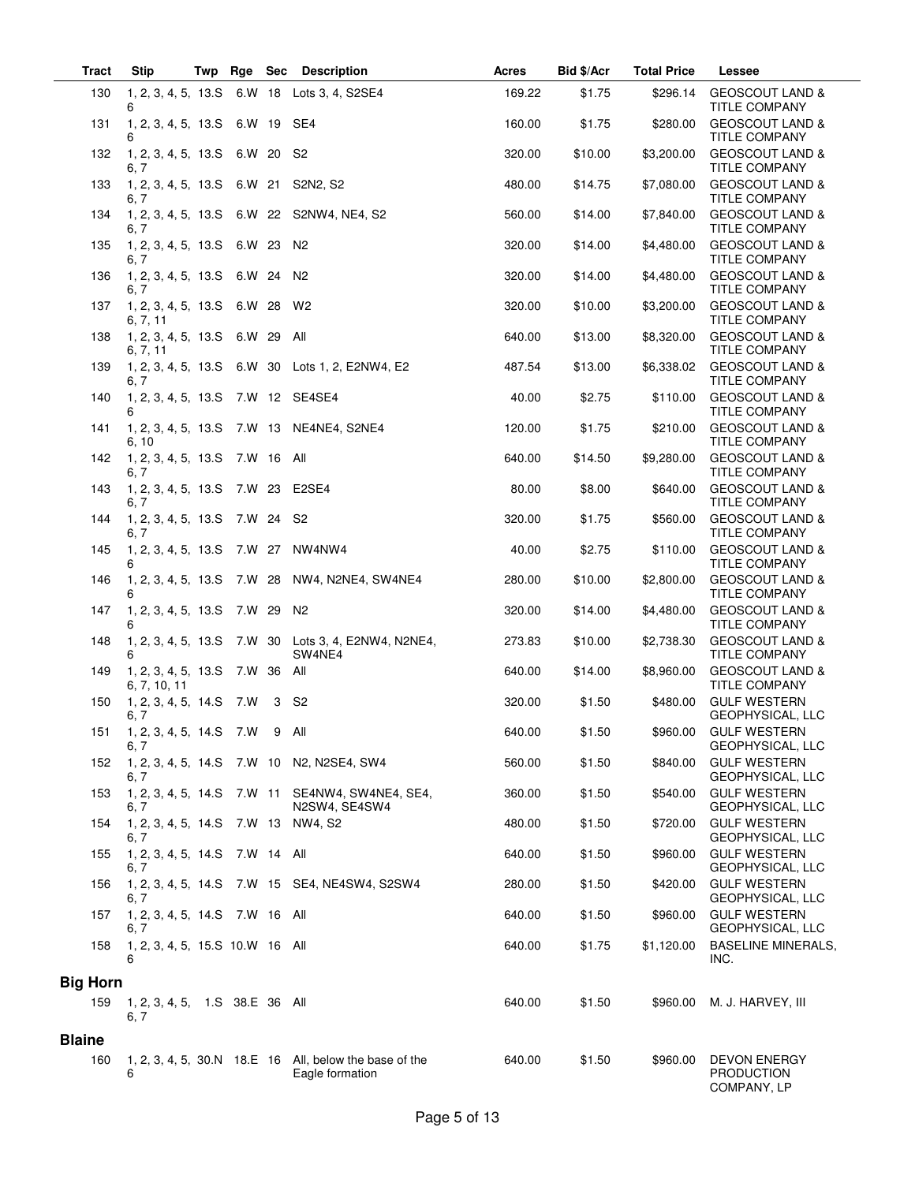| <b>Tract</b>    | Stip                                          | Twp | Rge        | Sec | <b>Description</b>                                                          | <b>Acres</b> | Bid \$/Acr | <b>Total Price</b> | <b>Lessee</b>                                           |
|-----------------|-----------------------------------------------|-----|------------|-----|-----------------------------------------------------------------------------|--------------|------------|--------------------|---------------------------------------------------------|
| 130             | 1, 2, 3, 4, 5, 13.5<br>6                      |     |            |     | 6.W 18 Lots 3, 4, S2SE4                                                     | 169.22       | \$1.75     | \$296.14           | <b>GEOSCOUT LAND &amp;</b><br><b>TITLE COMPANY</b>      |
| 131             | 1, 2, 3, 4, 5, 13.S 6.W 19 SE4<br>6           |     |            |     |                                                                             | 160.00       | \$1.75     | \$280.00           | <b>GEOSCOUT LAND &amp;</b><br><b>TITLE COMPANY</b>      |
| 132             | 1, 2, 3, 4, 5, 13.S 6.W 20<br>6.7             |     |            |     | - S2                                                                        | 320.00       | \$10.00    | \$3,200.00         | <b>GEOSCOUT LAND &amp;</b><br><b>TITLE COMPANY</b>      |
| 133             | 1, 2, 3, 4, 5, 13.S 6.W 21 S2N2, S2<br>6.7    |     |            |     |                                                                             | 480.00       | \$14.75    | \$7,080.00         | <b>GEOSCOUT LAND &amp;</b><br><b>TITLE COMPANY</b>      |
| 134             | 6, 7                                          |     |            |     | 1, 2, 3, 4, 5, 13.S 6.W 22 S2NW4, NE4, S2                                   | 560.00       | \$14.00    | \$7,840.00         | <b>GEOSCOUT LAND &amp;</b><br><b>TITLE COMPANY</b>      |
| 135             | 1, 2, 3, 4, 5, 13. S<br>6.7                   |     | 6.W 23     |     | N <sub>2</sub>                                                              | 320.00       | \$14.00    | \$4,480.00         | <b>GEOSCOUT LAND &amp;</b><br><b>TITLE COMPANY</b>      |
| 136             | 1, 2, 3, 4, 5, 13.S 6.W 24 N2<br>6, 7         |     |            |     |                                                                             | 320.00       | \$14.00    | \$4,480.00         | <b>GEOSCOUT LAND &amp;</b><br><b>TITLE COMPANY</b>      |
| 137             | 1, 2, 3, 4, 5, 13.S 6.W 28<br>6, 7, 11        |     |            |     | W2                                                                          | 320.00       | \$10.00    | \$3,200.00         | <b>GEOSCOUT LAND &amp;</b><br><b>TITLE COMPANY</b>      |
| 138             | 1, 2, 3, 4, 5, 13.S 6.W 29<br>6, 7, 11        |     |            |     | All                                                                         | 640.00       | \$13.00    | \$8,320.00         | <b>GEOSCOUT LAND &amp;</b><br><b>TITLE COMPANY</b>      |
| 139             | 6. 7                                          |     |            |     | 1, 2, 3, 4, 5, 13.S 6.W 30 Lots 1, 2, E2NW4, E2                             | 487.54       | \$13.00    | \$6,338.02         | <b>GEOSCOUT LAND &amp;</b><br><b>TITLE COMPANY</b>      |
| 140             | 1, 2, 3, 4, 5, 13.S 7.W 12 SE4SE4<br>6        |     |            |     |                                                                             | 40.00        | \$2.75     | \$110.00           | <b>GEOSCOUT LAND &amp;</b><br><b>TITLE COMPANY</b>      |
| 141             | 6, 10                                         |     |            |     | 1, 2, 3, 4, 5, 13.S 7.W 13 NE4NE4, S2NE4                                    | 120.00       | \$1.75     | \$210.00           | <b>GEOSCOUT LAND &amp;</b><br>TITLE COMPANY             |
| 142             | 1, 2, 3, 4, 5, 13. S<br>6, 7                  |     | 7.W 16 All |     |                                                                             | 640.00       | \$14.50    | \$9,280.00         | <b>GEOSCOUT LAND &amp;</b><br>TITLE COMPANY             |
| 143             | 1, 2, 3, 4, 5, 13.S 7.W 23 E2SE4<br>6.7       |     |            |     |                                                                             | 80.00        | \$8.00     | \$640.00           | <b>GEOSCOUT LAND &amp;</b><br><b>TITLE COMPANY</b>      |
| 144             | 1, 2, 3, 4, 5, 13. S<br>6, 7                  |     | 7.W 24     |     | S <sub>2</sub>                                                              | 320.00       | \$1.75     | \$560.00           | <b>GEOSCOUT LAND &amp;</b><br>TITLE COMPANY             |
| 145             | 1, 2, 3, 4, 5, 13.S 7.W 27<br>6               |     |            |     | NW4NW4                                                                      | 40.00        | \$2.75     | \$110.00           | <b>GEOSCOUT LAND &amp;</b><br><b>TITLE COMPANY</b>      |
| 146             | 6                                             |     |            |     | 1, 2, 3, 4, 5, 13.S 7.W 28 NW4, N2NE4, SW4NE4                               | 280.00       | \$10.00    | \$2,800.00         | <b>GEOSCOUT LAND &amp;</b><br><b>TITLE COMPANY</b>      |
| 147             | 1, 2, 3, 4, 5, 13.S<br>6                      |     | 7.W 29     |     | N <sub>2</sub>                                                              | 320.00       | \$14.00    | \$4,480.00         | <b>GEOSCOUT LAND &amp;</b><br><b>TITLE COMPANY</b>      |
| 148             | 1, 2, 3, 4, 5, 13. S<br>6                     |     |            |     | 7.W 30 Lots 3, 4, E2NW4, N2NE4,<br>SW4NE4                                   | 273.83       | \$10.00    | \$2,738.30         | <b>GEOSCOUT LAND &amp;</b><br><b>TITLE COMPANY</b>      |
| 149             | 1, 2, 3, 4, 5, 13.S<br>6, 7, 10, 11           |     | 7.W 36     |     | All                                                                         | 640.00       | \$14.00    | \$8,960.00         | <b>GEOSCOUT LAND &amp;</b><br><b>TITLE COMPANY</b>      |
| 150             | 1, 2, 3, 4, 5, 14.S 7.W<br>6, 7               |     |            | -3  | S2                                                                          | 320.00       | \$1.50     | \$480.00           | <b>GULF WESTERN</b><br>GEOPHYSICAL, LLC                 |
|                 | 151  1, 2, 3, 4, 5, 14.S  7.W  9  All<br>6, 7 |     |            |     |                                                                             | 640.00       | \$1.50     | \$960.00           | <b>GULF WESTERN</b><br>GEOPHYSICAL, LLC                 |
| 152             | 6, 7                                          |     |            |     | 1, 2, 3, 4, 5, 14. S 7. W 10 N2, N2SE4, SW4                                 | 560.00       | \$1.50     | \$840.00           | <b>GULF WESTERN</b><br>GEOPHYSICAL, LLC                 |
| 153             | 1, 2, 3, 4, 5, 14.S<br>6, 7                   |     |            |     | 7.W 11 SE4NW4, SW4NE4, SE4,<br>N2SW4, SE4SW4                                | 360.00       | \$1.50     | \$540.00           | <b>GULF WESTERN</b><br>GEOPHYSICAL, LLC                 |
| 154             | 1, 2, 3, 4, 5, 14.S<br>6, 7                   |     |            |     | 7.W 13 NW4, S2                                                              | 480.00       | \$1.50     | \$720.00           | <b>GULF WESTERN</b><br>GEOPHYSICAL, LLC                 |
| 155             | 1, 2, 3, 4, 5, 14. S 7. W 14 All<br>6, 7      |     |            |     |                                                                             | 640.00       | \$1.50     | \$960.00           | <b>GULF WESTERN</b><br>GEOPHYSICAL, LLC                 |
| 156             | 6, 7                                          |     |            |     | 1, 2, 3, 4, 5, 14.S 7.W 15 SE4, NE4SW4, S2SW4                               | 280.00       | \$1.50     | \$420.00           | <b>GULF WESTERN</b><br>GEOPHYSICAL, LLC                 |
| 157             | 1, 2, 3, 4, 5, 14. S 7. W 16 All<br>6. 7      |     |            |     |                                                                             | 640.00       | \$1.50     | \$960.00           | <b>GULF WESTERN</b><br>GEOPHYSICAL, LLC                 |
| 158             | 1, 2, 3, 4, 5, 15.S 10.W 16 All<br>6          |     |            |     |                                                                             | 640.00       | \$1.75     | \$1,120.00         | <b>BASELINE MINERALS,</b><br>INC.                       |
| <b>Big Horn</b> |                                               |     |            |     |                                                                             |              |            |                    |                                                         |
| 159             | 1, 2, 3, 4, 5, 1.S 38.E 36 All<br>6, 7        |     |            |     |                                                                             | 640.00       | \$1.50     | \$960.00           | M. J. HARVEY, III                                       |
| <b>Blaine</b>   |                                               |     |            |     |                                                                             |              |            |                    |                                                         |
| 160             | 6                                             |     |            |     | 1, 2, 3, 4, 5, 30. N 18. E 16 All, below the base of the<br>Eagle formation | 640.00       | \$1.50     | \$960.00           | <b>DEVON ENERGY</b><br><b>PRODUCTION</b><br>COMPANY, LP |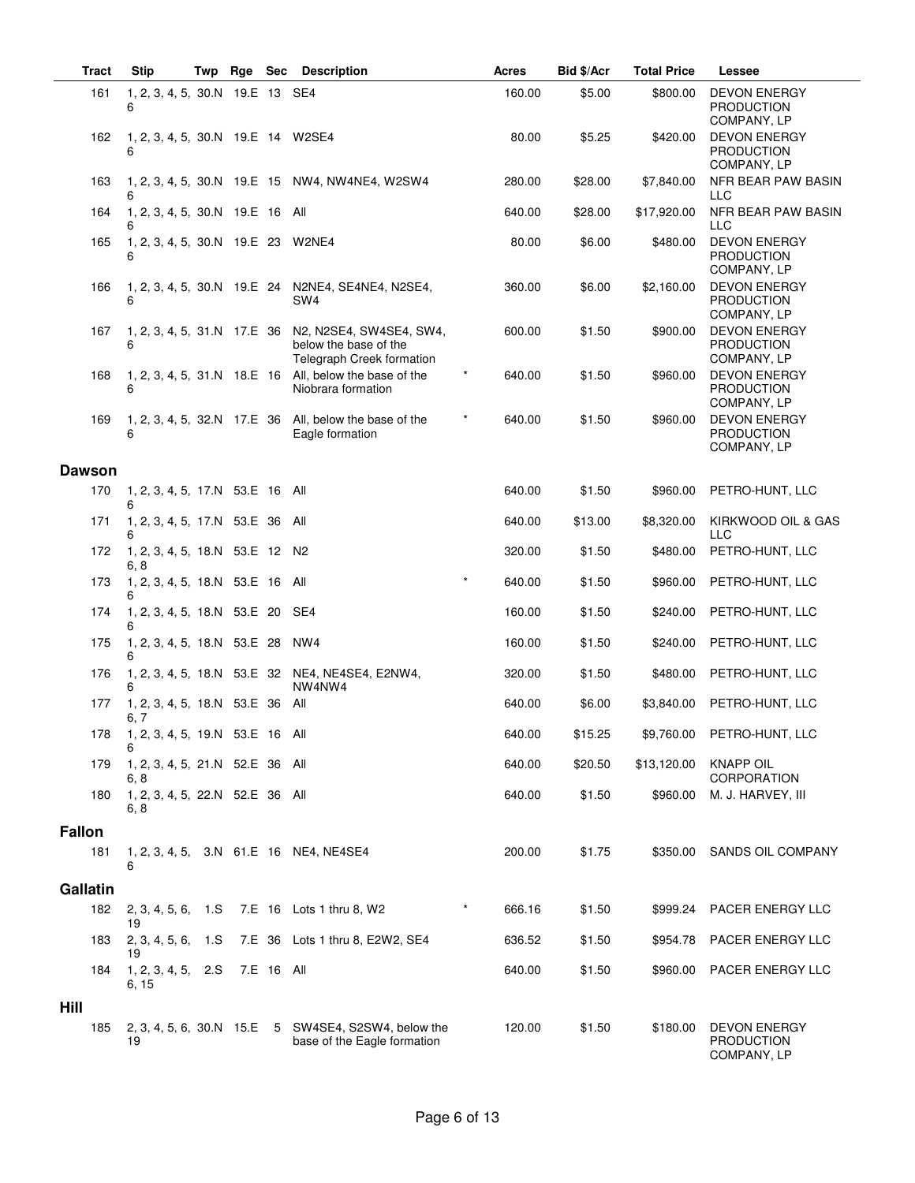| <b>Tract</b>  | <b>Stip</b>                                  | Twp | Rge Sec |            | <b>Description</b>                                                                 | <b>Acres</b>      | Bid \$/Acr | <b>Total Price</b> | Lessee                                                  |
|---------------|----------------------------------------------|-----|---------|------------|------------------------------------------------------------------------------------|-------------------|------------|--------------------|---------------------------------------------------------|
| 161           | 1, 2, 3, 4, 5, 30.N 19.E 13 SE4<br>6         |     |         |            |                                                                                    | 160.00            | \$5.00     | \$800.00           | <b>DEVON ENERGY</b><br><b>PRODUCTION</b><br>COMPANY, LP |
| 162           | 1, 2, 3, 4, 5, 30.N 19.E 14 W2SE4<br>6       |     |         |            |                                                                                    | 80.00             | \$5.25     | \$420.00           | <b>DEVON ENERGY</b><br><b>PRODUCTION</b><br>COMPANY, LP |
| 163           | 6                                            |     |         |            | 1, 2, 3, 4, 5, 30.N 19.E 15 NW4, NW4NE4, W2SW4                                     | 280.00            | \$28.00    | \$7,840.00         | NFR BEAR PAW BASIN<br><b>LLC</b>                        |
| 164           | 1, 2, 3, 4, 5, 30.N 19.E 16 All<br>6         |     |         |            |                                                                                    | 640.00            | \$28.00    | \$17,920.00        | NFR BEAR PAW BASIN<br><b>LLC</b>                        |
| 165           | 1, 2, 3, 4, 5, 30.N 19.E 23 W2NE4<br>6       |     |         |            |                                                                                    | 80.00             | \$6.00     | \$480.00           | <b>DEVON ENERGY</b><br><b>PRODUCTION</b><br>COMPANY, LP |
| 166           | 6                                            |     |         |            | 1, 2, 3, 4, 5, 30.N 19.E 24 N2NE4, SE4NE4, N2SE4,<br>SW <sub>4</sub>               | 360.00            | \$6.00     | \$2,160.00         | <b>DEVON ENERGY</b><br><b>PRODUCTION</b><br>COMPANY, LP |
| 167           | 1, 2, 3, 4, 5, 31.N 17.E 36<br>6             |     |         |            | N2, N2SE4, SW4SE4, SW4,<br>below the base of the<br>Telegraph Creek formation      | 600.00            | \$1.50     | \$900.00           | <b>DEVON ENERGY</b><br><b>PRODUCTION</b><br>COMPANY, LP |
| 168           | 1, 2, 3, 4, 5, 31.N 18.E 16<br>6             |     |         |            | All, below the base of the<br>Niobrara formation                                   | $\star$<br>640.00 | \$1.50     | \$960.00           | <b>DEVON ENERGY</b><br><b>PRODUCTION</b><br>COMPANY, LP |
| 169           | 1, 2, 3, 4, 5, 32.N 17.E 36                  |     |         |            | All, below the base of the<br>Eagle formation                                      | 640.00            | \$1.50     | \$960.00           | <b>DEVON ENERGY</b><br><b>PRODUCTION</b><br>COMPANY, LP |
| <b>Dawson</b> |                                              |     |         |            |                                                                                    |                   |            |                    |                                                         |
| 170           | 1, 2, 3, 4, 5, 17.N 53.E 16 All              |     |         |            |                                                                                    | 640.00            | \$1.50     | \$960.00           | PETRO-HUNT, LLC                                         |
| 171           | 1, 2, 3, 4, 5, 17.N 53.E 36 All<br>6         |     |         |            |                                                                                    | 640.00            | \$13.00    | \$8,320.00         | KIRKWOOD OIL & GAS<br><b>LLC</b>                        |
| 172           | 1, 2, 3, 4, 5, 18.N 53.E 12 N2<br>6, 8       |     |         |            |                                                                                    | 320.00            | \$1.50     | \$480.00           | PETRO-HUNT, LLC                                         |
| 173           | 1, 2, 3, 4, 5, 18.N 53.E 16 All              |     |         |            |                                                                                    | 640.00            | \$1.50     | \$960.00           | PETRO-HUNT, LLC                                         |
| 174           | 1, 2, 3, 4, 5, 18.N 53.E 20 SE4<br>6         |     |         |            |                                                                                    | 160.00            | \$1.50     | \$240.00           | PETRO-HUNT, LLC                                         |
| 175           | 1, 2, 3, 4, 5, 18.N 53.E 28<br>6             |     |         |            | NW4                                                                                | 160.00            | \$1.50     | \$240.00           | PETRO-HUNT, LLC                                         |
| 176           | 6                                            |     |         |            | 1, 2, 3, 4, 5, 18.N 53.E 32 NE4, NE4SE4, E2NW4,<br>NW4NW4                          | 320.00            | \$1.50     | \$480.00           | PETRO-HUNT, LLC                                         |
| 177           | 1, 2, 3, 4, 5, 18.N 53.E 36 All<br>6, 7      |     |         |            |                                                                                    | 640.00            | \$6.00     | \$3,840.00         | PETRO-HUNT, LLC                                         |
|               | 178  1, 2, 3, 4, 5, 19.N  53.E  16  All<br>6 |     |         |            |                                                                                    | 640.00            | \$15.25    |                    | \$9,760.00 PETRO-HUNT, LLC                              |
| 179           | 1, 2, 3, 4, 5, 21.N 52.E 36 All<br>6, 8      |     |         |            |                                                                                    | 640.00            | \$20.50    | \$13,120.00        | <b>KNAPP OIL</b><br>CORPORATION                         |
| 180           | 1, 2, 3, 4, 5, 22.N 52.E 36 All<br>6, 8      |     |         |            |                                                                                    | 640.00            | \$1.50     | \$960.00           | M. J. HARVEY, III                                       |
| <b>Fallon</b> |                                              |     |         |            |                                                                                    |                   |            |                    |                                                         |
| 181           | 6                                            |     |         |            | 1, 2, 3, 4, 5, 3.N 61.E 16 NE4, NE4SE4                                             | 200.00            | \$1.75     | \$350.00           | SANDS OIL COMPANY                                       |
| Gallatin      |                                              |     |         |            |                                                                                    |                   |            |                    |                                                         |
| 182           | 2, 3, 4, 5, 6, 1.S<br>19                     |     |         |            | 7.E 16 Lots 1 thru 8, W2                                                           | $\star$<br>666.16 | \$1.50     |                    | \$999.24 PACER ENERGY LLC                               |
| 183           | 2, 3, 4, 5, 6,<br>19                         | 1.S |         |            | 7.E 36 Lots 1 thru 8, E2W2, SE4                                                    | 636.52            | \$1.50     | \$954.78           | PACER ENERGY LLC                                        |
| 184           | 1, 2, 3, 4, 5,<br>6, 15                      | 2.S |         | 7.E 16 All |                                                                                    | 640.00            | \$1.50     | \$960.00           | PACER ENERGY LLC                                        |
| Hill<br>185   | 19                                           |     |         |            | 2, 3, 4, 5, 6, 30.N 15.E 5 SW4SE4, S2SW4, below the<br>base of the Eagle formation | 120.00            | \$1.50     | \$180.00           | <b>DEVON ENERGY</b><br><b>PRODUCTION</b><br>COMPANY, LP |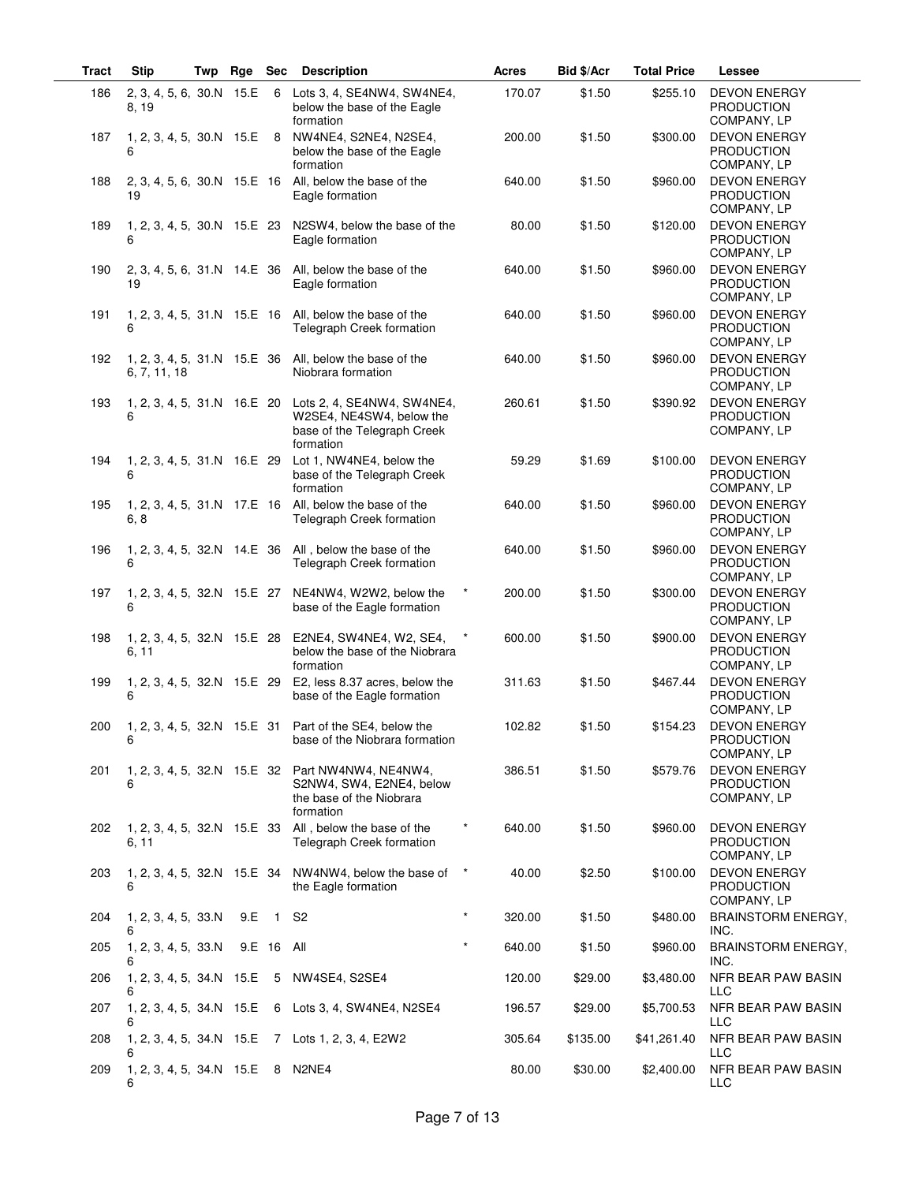| <b>Tract</b> | <b>Stip</b>                          | Twp | Rge | <b>Sec</b>     | <b>Description</b>                                                                                                             | Acres             | Bid \$/Acr | <b>Total Price</b> | Lessee                                                  |
|--------------|--------------------------------------|-----|-----|----------------|--------------------------------------------------------------------------------------------------------------------------------|-------------------|------------|--------------------|---------------------------------------------------------|
| 186          | 2, 3, 4, 5, 6, 30.N 15.E<br>8, 19    |     |     |                | 6 Lots 3, 4, SE4NW4, SW4NE4,<br>below the base of the Eagle<br>formation                                                       | 170.07            | \$1.50     | \$255.10           | <b>DEVON ENERGY</b><br><b>PRODUCTION</b><br>COMPANY, LP |
| 187          | 1, 2, 3, 4, 5, 30.N 15.E<br>6        |     |     |                | 8 NW4NE4, S2NE4, N2SE4,<br>below the base of the Eagle<br>formation                                                            | 200.00            | \$1.50     | \$300.00           | <b>DEVON ENERGY</b><br><b>PRODUCTION</b><br>COMPANY, LP |
| 188          | 19                                   |     |     |                | 2, 3, 4, 5, 6, 30. N 15. E 16 All, below the base of the<br>Eagle formation                                                    | 640.00            | \$1.50     | \$960.00           | <b>DEVON ENERGY</b><br><b>PRODUCTION</b><br>COMPANY, LP |
| 189          | 6                                    |     |     |                | 1, 2, 3, 4, 5, 30.N 15.E 23 N2SW4, below the base of the<br>Eagle formation                                                    | 80.00             | \$1.50     | \$120.00           | <b>DEVON ENERGY</b><br>PRODUCTION<br>COMPANY, LP        |
| 190          | 19                                   |     |     |                | 2, 3, 4, 5, 6, 31.N 14.E 36 All, below the base of the<br>Eagle formation                                                      | 640.00            | \$1.50     | \$960.00           | <b>DEVON ENERGY</b><br><b>PRODUCTION</b><br>COMPANY, LP |
| 191          | 1, 2, 3, 4, 5, 31.N 15.E 16<br>6     |     |     |                | All, below the base of the<br>Telegraph Creek formation                                                                        | 640.00            | \$1.50     | \$960.00           | <b>DEVON ENERGY</b><br><b>PRODUCTION</b><br>COMPANY, LP |
| 192          | 6, 7, 11, 18                         |     |     |                | 1, 2, 3, 4, 5, 31.N 15.E 36 All, below the base of the<br>Niobrara formation                                                   | 640.00            | \$1.50     | \$960.00           | <b>DEVON ENERGY</b><br><b>PRODUCTION</b><br>COMPANY, LP |
| 193          | 6                                    |     |     |                | 1, 2, 3, 4, 5, 31.N 16.E 20 Lots 2, 4, SE4NW4, SW4NE4,<br>W2SE4, NE4SW4, below the<br>base of the Telegraph Creek<br>formation | 260.61            | \$1.50     | \$390.92           | <b>DEVON ENERGY</b><br><b>PRODUCTION</b><br>COMPANY, LP |
| 194          | 6                                    |     |     |                | 1, 2, 3, 4, 5, 31.N 16.E 29 Lot 1, NW4NE4, below the<br>base of the Telegraph Creek<br>formation                               | 59.29             | \$1.69     | \$100.00           | <b>DEVON ENERGY</b><br><b>PRODUCTION</b><br>COMPANY, LP |
| 195          | 6, 8                                 |     |     |                | 1, 2, 3, 4, 5, 31.N 17.E 16 All, below the base of the<br>Telegraph Creek formation                                            | 640.00            | \$1.50     | \$960.00           | <b>DEVON ENERGY</b><br><b>PRODUCTION</b><br>COMPANY, LP |
| 196          | 1, 2, 3, 4, 5, 32.N 14.E 36<br>6     |     |     |                | All, below the base of the<br>Telegraph Creek formation                                                                        | 640.00            | \$1.50     | \$960.00           | <b>DEVON ENERGY</b><br>PRODUCTION<br>COMPANY, LP        |
| 197          | 1, 2, 3, 4, 5, 32.N 15.E 27<br>6     |     |     |                | NE4NW4, W2W2, below the<br>base of the Eagle formation                                                                         | $\star$<br>200.00 | \$1.50     | \$300.00           | <b>DEVON ENERGY</b><br>PRODUCTION<br>COMPANY, LP        |
| 198          | 6, 11                                |     |     |                | 1, 2, 3, 4, 5, 32.N 15.E 28 E2NE4, SW4NE4, W2, SE4,<br>below the base of the Niobrara<br>formation                             | 600.00            | \$1.50     | \$900.00           | <b>DEVON ENERGY</b><br><b>PRODUCTION</b><br>COMPANY, LP |
| 199          | 6                                    |     |     |                | 1, 2, 3, 4, 5, 32.N 15.E 29 E2, less 8.37 acres, below the<br>base of the Eagle formation                                      | 311.63            | \$1.50     | \$467.44           | <b>DEVON ENERGY</b><br><b>PRODUCTION</b><br>COMPANY, LP |
| 200          | 6                                    |     |     |                | 1, 2, 3, 4, 5, 32.N 15.E 31 Part of the SE4, below the<br>base of the Niobrara formation                                       | 102.82            | \$1.50     | \$154.23           | <b>DEVON ENERGY</b><br><b>PRODUCTION</b><br>COMPANY, LP |
| 201          | 6                                    |     |     |                | 1, 2, 3, 4, 5, 32.N 15.E 32 Part NW4NW4, NE4NW4,<br>S2NW4, SW4, E2NE4, below<br>the base of the Niobrara<br>formation          | 386.51            | \$1.50     | \$579.76           | <b>DEVON ENERGY</b><br><b>PRODUCTION</b><br>COMPANY, LP |
| 202          | 1, 2, 3, 4, 5, 32.N 15.E 33<br>6, 11 |     |     |                | All, below the base of the<br>Telegraph Creek formation                                                                        | 640.00            | \$1.50     | \$960.00           | <b>DEVON ENERGY</b><br><b>PRODUCTION</b><br>COMPANY, LP |
| 203          | 1, 2, 3, 4, 5, 32.N 15.E 34<br>6     |     |     |                | NW4NW4, below the base of<br>the Eagle formation                                                                               | $\star$<br>40.00  | \$2.50     | \$100.00           | <b>DEVON ENERGY</b><br><b>PRODUCTION</b><br>COMPANY, LP |
| 204          | 1, 2, 3, 4, 5, 33.N<br>6             |     | 9.E | $\overline{1}$ | S <sub>2</sub>                                                                                                                 | $\star$<br>320.00 | \$1.50     | \$480.00           | <b>BRAINSTORM ENERGY,</b><br>INC.                       |
| 205          | 1, 2, 3, 4, 5, 33.N<br>6             |     |     | 9.E 16 All     |                                                                                                                                | $\star$<br>640.00 | \$1.50     | \$960.00           | BRAINSTORM ENERGY,<br>INC.                              |
| 206          | 1, 2, 3, 4, 5, 34.N 15.E<br>6        |     |     | 5              | NW4SE4, S2SE4                                                                                                                  | 120.00            | \$29.00    | \$3,480.00         | NFR BEAR PAW BASIN<br><b>LLC</b>                        |
| 207          | 1, 2, 3, 4, 5, 34.N 15.E<br>6        |     |     |                | 6 Lots 3, 4, SW4NE4, N2SE4                                                                                                     | 196.57            | \$29.00    | \$5,700.53         | NFR BEAR PAW BASIN<br>LLC                               |
| 208          | 1, 2, 3, 4, 5, 34.N 15.E<br>6        |     |     |                | 7 Lots 1, 2, 3, 4, E2W2                                                                                                        | 305.64            | \$135.00   | \$41,261.40        | NFR BEAR PAW BASIN<br>LLC                               |
| 209          | 1, 2, 3, 4, 5, 34.N 15.E<br>6        |     |     |                | 8 N2NE4                                                                                                                        | 80.00             | \$30.00    | \$2,400.00         | NFR BEAR PAW BASIN<br>LLC                               |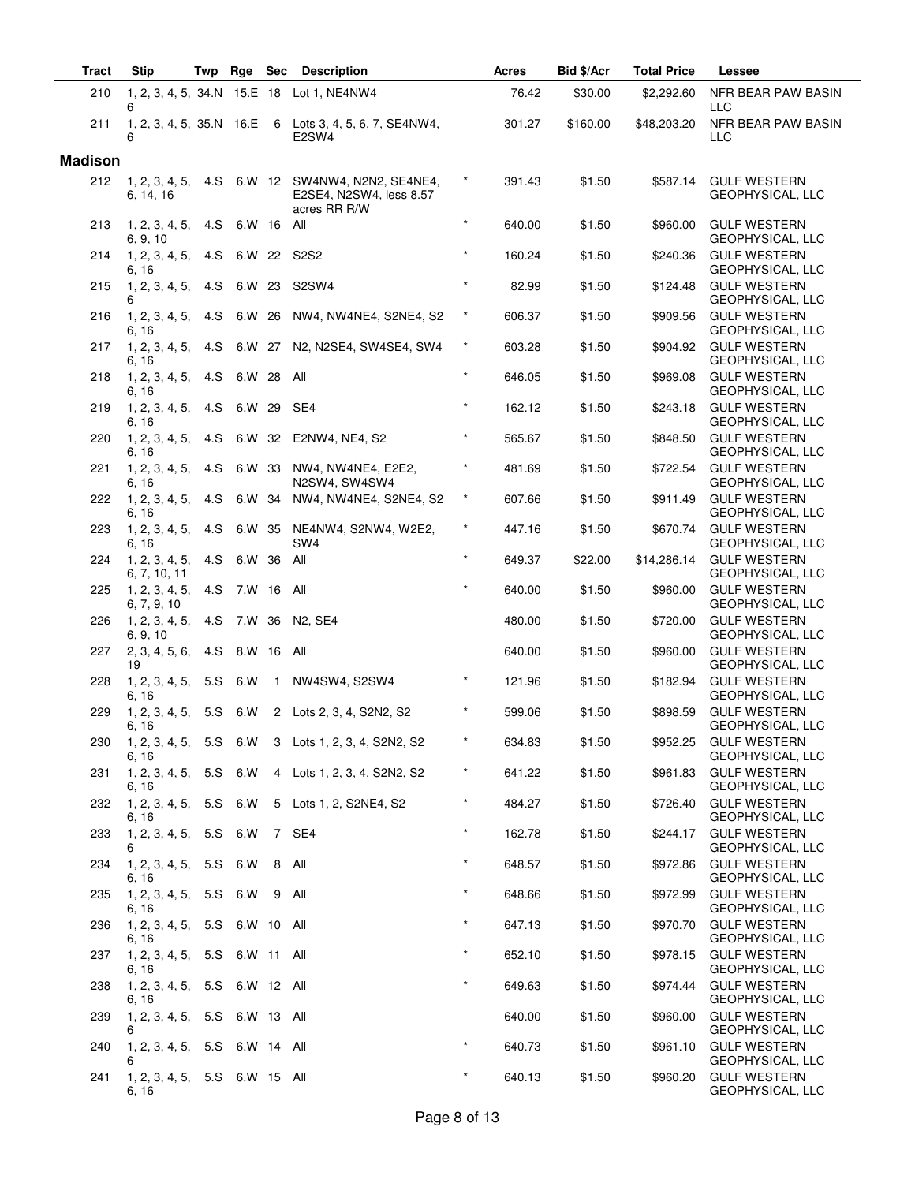| <b>Tract</b>   | <b>Stip</b>                            | Twp | Rge Sec        |              | <b>Description</b>                                                          |           | Acres  | Bid \$/Acr | <b>Total Price</b> | Lessee                                    |
|----------------|----------------------------------------|-----|----------------|--------------|-----------------------------------------------------------------------------|-----------|--------|------------|--------------------|-------------------------------------------|
| 210            | 6                                      |     |                |              | 1, 2, 3, 4, 5, 34.N 15.E 18 Lot 1, NE4NW4                                   |           | 76.42  | \$30.00    | \$2,292.60         | NFR BEAR PAW BASIN<br><b>LLC</b>          |
| 211            | 6                                      |     |                |              | 1, 2, 3, 4, 5, 35.N 16.E 6 Lots 3, 4, 5, 6, 7, SE4NW4,<br>E2SW4             |           | 301.27 | \$160.00   | \$48,203.20        | NFR BEAR PAW BASIN<br><b>LLC</b>          |
| <b>Madison</b> |                                        |     |                |              |                                                                             |           |        |            |                    |                                           |
| 212            | 1, 2, 3, 4, 5,<br>6, 14, 16            |     |                |              | 4.S 6.W 12 SW4NW4, N2N2, SE4NE4,<br>E2SE4, N2SW4, less 8.57<br>acres RR R/W | $\star$   | 391.43 | \$1.50     | \$587.14           | <b>GULF WESTERN</b><br>GEOPHYSICAL, LLC   |
| 213            | 1, 2, 3, 4, 5,<br>6, 9, 10             | 4.S | 6.W 16         |              | All                                                                         | $\star$   | 640.00 | \$1.50     | \$960.00           | <b>GULF WESTERN</b><br>GEOPHYSICAL, LLC   |
| 214            | 1, 2, 3, 4, 5,<br>6, 16                | 4.S |                |              | 6.W 22 S2S2                                                                 | $\star$   | 160.24 | \$1.50     | \$240.36           | <b>GULF WESTERN</b><br>GEOPHYSICAL, LLC   |
| 215            | 1, 2, 3, 4, 5,<br>6                    | 4.S | 6.W 23         |              | S2SW4                                                                       | $\star$   | 82.99  | \$1.50     | \$124.48           | <b>GULF WESTERN</b><br>GEOPHYSICAL, LLC   |
| 216            | 1, 2, 3, 4, 5,<br>6, 16                |     |                |              | 4.S 6.W 26 NW4, NW4NE4, S2NE4, S2                                           | $\star$   | 606.37 | \$1.50     | \$909.56           | <b>GULF WESTERN</b><br>GEOPHYSICAL, LLC   |
| 217            | 1, 2, 3, 4, 5,<br>6, 16                |     |                |              | 4.S 6.W 27 N2, N2SE4, SW4SE4, SW4                                           | $\star$   | 603.28 | \$1.50     | \$904.92           | <b>GULF WESTERN</b><br>GEOPHYSICAL, LLC   |
| 218            | 1, 2, 3, 4, 5,<br>6, 16                |     | 4.S 6.W 28     |              | All                                                                         | $\star$   | 646.05 | \$1.50     | \$969.08           | <b>GULF WESTERN</b><br>GEOPHYSICAL, LLC   |
| 219            | 1, 2, 3, 4, 5,<br>6, 16                | 4.S | 6.W 29         |              | SE4                                                                         | $\star$   | 162.12 | \$1.50     | \$243.18           | <b>GULF WESTERN</b><br>GEOPHYSICAL, LLC   |
| 220            | 1, 2, 3, 4, 5,<br>6, 16                | 4.S |                |              | 6.W 32 E2NW4, NE4, S2                                                       | $\star$   | 565.67 | \$1.50     | \$848.50           | <b>GULF WESTERN</b><br>GEOPHYSICAL, LLC   |
| 221            | 1, 2, 3, 4, 5,<br>6, 16                |     | 4.S 6.W 33     |              | NW4, NW4NE4, E2E2,<br>N2SW4. SW4SW4                                         | $^\star$  | 481.69 | \$1.50     | \$722.54           | <b>GULF WESTERN</b><br>GEOPHYSICAL, LLC   |
| 222            | 1, 2, 3, 4, 5,<br>6, 16                |     | 4.S 6.W 34     |              | NW4, NW4NE4, S2NE4, S2                                                      | $\star$   | 607.66 | \$1.50     | \$911.49           | <b>GULF WESTERN</b><br>GEOPHYSICAL, LLC   |
| 223            | 1, 2, 3, 4, 5,<br>6, 16                | 4.S |                |              | 6.W 35 NE4NW4, S2NW4, W2E2,<br>SW <sub>4</sub>                              | $^\star$  | 447.16 | \$1.50     | \$670.74           | <b>GULF WESTERN</b><br>GEOPHYSICAL, LLC   |
| 224            | 1, 2, 3, 4, 5,<br>6, 7, 10, 11         | 4.S | 6.W 36 All     |              |                                                                             | $\star$   | 649.37 | \$22.00    | \$14,286.14        | <b>GULF WESTERN</b><br>GEOPHYSICAL, LLC   |
| 225            | 1, 2, 3, 4, 5,<br>6, 7, 9, 10          |     | 4.S 7.W 16 All |              |                                                                             | $\star$   | 640.00 | \$1.50     | \$960.00           | <b>GULF WESTERN</b><br>GEOPHYSICAL, LLC   |
| 226            | 1, 2, 3, 4, 5,<br>6, 9, 10             | 4.S |                |              | 7.W 36 N2, SE4                                                              |           | 480.00 | \$1.50     | \$720.00           | <b>GULF WESTERN</b><br>GEOPHYSICAL, LLC   |
| 227            | 2, 3, 4, 5, 6,<br>19                   | 4.S | 8.W 16         |              | All                                                                         |           | 640.00 | \$1.50     | \$960.00           | <b>GULF WESTERN</b><br>GEOPHYSICAL, LLC   |
| 228            | 1, 2, 3, 4, 5,<br>6, 16                | 5.S | 6.W            | $\mathbf{1}$ | NW4SW4, S2SW4                                                               | $\star$   | 121.96 | \$1.50     | \$182.94           | <b>GULF WESTERN</b><br>GEOPHYSICAL, LLC   |
| 229            | 1, 2, 3, 4, 5,<br>6, 16                |     | 5.S 6.W        |              | 2 Lots 2, 3, 4, S2N2, S2                                                    |           | 599.06 | \$1.50     | \$898.59           | <b>GULF WESTERN</b><br>GEOPHYSICAL, LLC   |
| 230            | 1, 2, 3, 4, 5, 5.S 6.W<br>6, 16        |     |                |              | 3 Lots 1, 2, 3, 4, S2N2, S2                                                 | $\star$   | 634.83 | \$1.50     |                    | \$952.25 GULF WESTERN<br>GEOPHYSICAL, LLC |
| 231            | 1, 2, 3, 4, 5, 5.S 6.W<br>6, 16        |     |                |              | 4 Lots 1, 2, 3, 4, S2N2, S2                                                 | $^{\ast}$ | 641.22 | \$1.50     | \$961.83           | <b>GULF WESTERN</b><br>GEOPHYSICAL, LLC   |
| 232            | 1, 2, 3, 4, 5, 5.<br>6, 16             |     | 6.W            |              | 5 Lots 1, 2, S2NE4, S2                                                      | $^\star$  | 484.27 | \$1.50     | \$726.40           | <b>GULF WESTERN</b><br>GEOPHYSICAL, LLC   |
| 233            | 1, 2, 3, 4, 5,<br>6                    |     | 5.S 6.W        |              | 7 SE4                                                                       | $\star$   | 162.78 | \$1.50     | \$244.17           | <b>GULF WESTERN</b><br>GEOPHYSICAL, LLC   |
| 234            | 1, 2, 3, 4, 5,<br>6, 16                |     | 5.S 6.W        |              | 8 All                                                                       |           | 648.57 | \$1.50     | \$972.86           | <b>GULF WESTERN</b><br>GEOPHYSICAL, LLC   |
| 235            | 1, 2, 3, 4, 5,<br>6, 16                |     | 5.S 6.W        |              | 9 All                                                                       | $\star$   | 648.66 | \$1.50     | \$972.99           | <b>GULF WESTERN</b><br>GEOPHYSICAL, LLC   |
| 236            | 1, 2, 3, 4, 5, 5.S 6.W 10 All<br>6, 16 |     |                |              |                                                                             | $\star$   | 647.13 | \$1.50     | \$970.70           | <b>GULF WESTERN</b><br>GEOPHYSICAL, LLC   |
| 237            | 1, 2, 3, 4, 5,<br>6, 16                |     | 5.S 6.W 11 All |              |                                                                             | $\star$   | 652.10 | \$1.50     | \$978.15           | <b>GULF WESTERN</b><br>GEOPHYSICAL, LLC   |
| 238            | 1, 2, 3, 4, 5,<br>6, 16                |     | 5.S 6.W 12 All |              |                                                                             | $\star$   | 649.63 | \$1.50     | \$974.44           | <b>GULF WESTERN</b><br>GEOPHYSICAL, LLC   |
| 239            | 1, 2, 3, 4, 5, 5.S 6.W 13 All<br>6     |     |                |              |                                                                             |           | 640.00 | \$1.50     | \$960.00           | <b>GULF WESTERN</b><br>GEOPHYSICAL, LLC   |
| 240            | 1, 2, 3, 4, 5,<br>6                    |     | 5.S 6.W 14 All |              |                                                                             | $\star$   | 640.73 | \$1.50     | \$961.10           | <b>GULF WESTERN</b><br>GEOPHYSICAL, LLC   |
| 241            | 1, 2, 3, 4, 5, 5.S 6.W 15 All<br>6, 16 |     |                |              |                                                                             | $\star$   | 640.13 | \$1.50     | \$960.20           | <b>GULF WESTERN</b><br>GEOPHYSICAL, LLC   |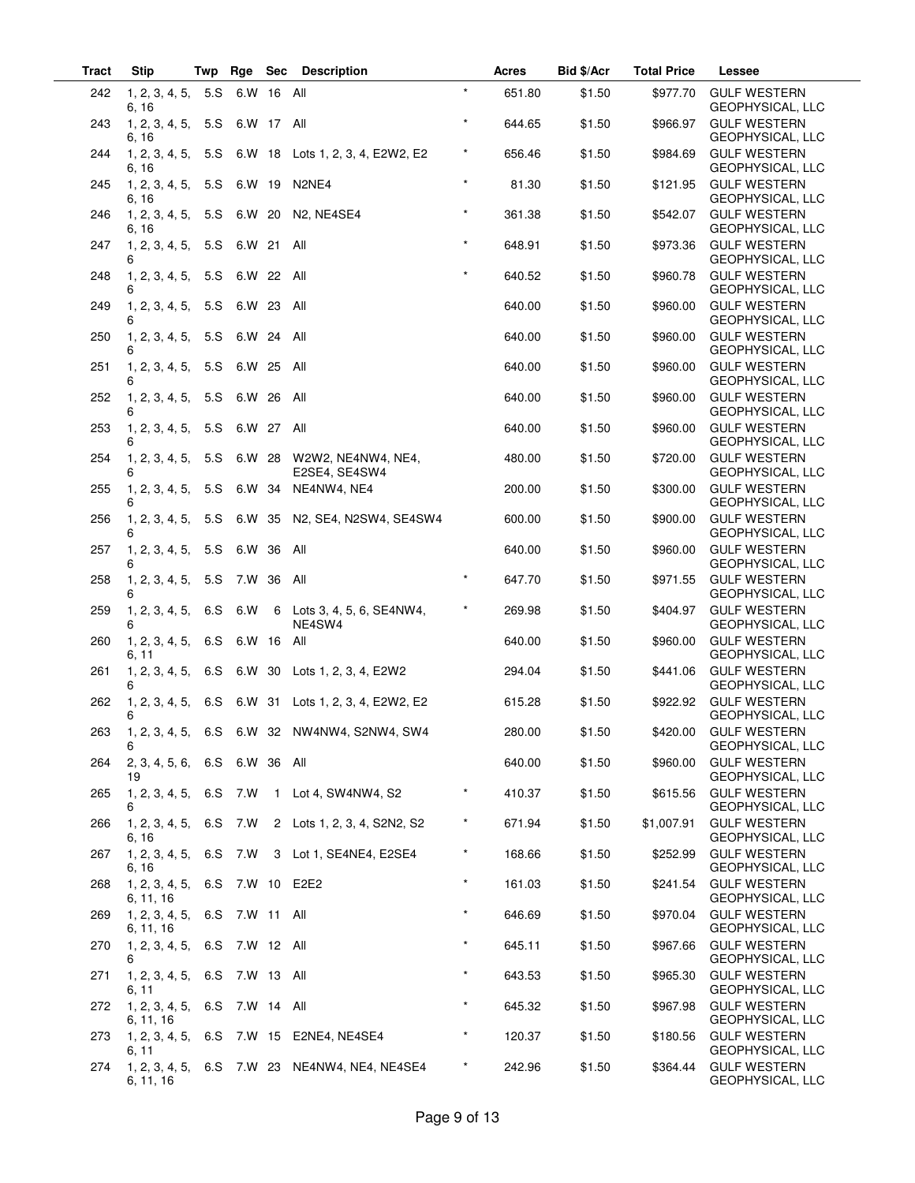| <b>Tract</b> | <b>Stip</b>                                 | Twp | Rge            | Sec Description                                     |          | Acres  | Bid \$/Acr | <b>Total Price</b> | Lessee                                         |
|--------------|---------------------------------------------|-----|----------------|-----------------------------------------------------|----------|--------|------------|--------------------|------------------------------------------------|
| 242          | 1, 2, 3, 4, 5, 5.S 6.W 16 All<br>6, 16      |     |                |                                                     | $\star$  | 651.80 | \$1.50     | \$977.70           | <b>GULF WESTERN</b><br>GEOPHYSICAL, LLC        |
| 243          | 1, 2, 3, 4, 5,<br>6, 16                     |     | 5.S 6.W 17 All |                                                     | $\star$  | 644.65 | \$1.50     | \$966.97           | <b>GULF WESTERN</b><br><b>GEOPHYSICAL, LLC</b> |
| 244          | 6. 16                                       |     |                | 1, 2, 3, 4, 5, 5.S 6.W 18 Lots 1, 2, 3, 4, E2W2, E2 | $\star$  | 656.46 | \$1.50     | \$984.69           | <b>GULF WESTERN</b><br>GEOPHYSICAL, LLC        |
| 245          | 1, 2, 3, 4, 5, 5.S 6.W 19 N2NE4<br>6, 16    |     |                |                                                     | $\star$  | 81.30  | \$1.50     | \$121.95           | <b>GULF WESTERN</b><br>GEOPHYSICAL, LLC        |
| 246          | 1, 2, 3, 4, 5, 5.S 6.W 20<br>6, 16          |     |                | N <sub>2</sub> . NE4SE4                             | $\star$  | 361.38 | \$1.50     | \$542.07           | <b>GULF WESTERN</b><br>GEOPHYSICAL, LLC        |
| 247          | 1, 2, 3, 4, 5,<br>6                         | 5.S | 6.W 21         | All                                                 | $\star$  | 648.91 | \$1.50     | \$973.36           | <b>GULF WESTERN</b><br>GEOPHYSICAL, LLC        |
| 248          | 1, 2, 3, 4, 5,                              | 5.S | 6.W 22         | All                                                 | $\star$  | 640.52 | \$1.50     | \$960.78           | <b>GULF WESTERN</b><br><b>GEOPHYSICAL, LLC</b> |
| 249          | 1, 2, 3, 4, 5,<br>6                         | 5.S | 6.W 23 All     |                                                     |          | 640.00 | \$1.50     | \$960.00           | <b>GULF WESTERN</b><br>GEOPHYSICAL, LLC        |
| 250          | 1, 2, 3, 4, 5,<br>6                         | 5.S | 6.W 24         | All                                                 |          | 640.00 | \$1.50     | \$960.00           | <b>GULF WESTERN</b><br>GEOPHYSICAL, LLC        |
| 251          | 1, 2, 3, 4, 5,<br>6                         | 5.S | 6.W 25         | All                                                 |          | 640.00 | \$1.50     | \$960.00           | <b>GULF WESTERN</b><br>GEOPHYSICAL, LLC        |
| 252          | 1, 2, 3, 4, 5, 5.<br>6                      |     | 6.W 26         | All                                                 |          | 640.00 | \$1.50     | \$960.00           | <b>GULF WESTERN</b><br>GEOPHYSICAL, LLC        |
| 253          | 1, 2, 3, 4, 5,<br>6                         | 5.S | 6.W 27 All     |                                                     |          | 640.00 | \$1.50     | \$960.00           | <b>GULF WESTERN</b><br>GEOPHYSICAL, LLC        |
| 254          | 1, 2, 3, 4, 5,                              | 5.S |                | 6.W 28 W2W2, NE4NW4, NE4,<br>E2SE4, SE4SW4          |          | 480.00 | \$1.50     | \$720.00           | <b>GULF WESTERN</b><br>GEOPHYSICAL, LLC        |
| 255          | 1, 2, 3, 4, 5,                              | 5.S | 6.W 34         | NE4NW4, NE4                                         |          | 200.00 | \$1.50     | \$300.00           | <b>GULF WESTERN</b><br>GEOPHYSICAL, LLC        |
| 256          | 1, 2, 3, 4, 5,<br>6                         | 5.S | 6.W 35         | N2, SE4, N2SW4, SE4SW4                              |          | 600.00 | \$1.50     | \$900.00           | <b>GULF WESTERN</b><br>GEOPHYSICAL, LLC        |
| 257          | 1, 2, 3, 4, 5,<br>6                         | 5.S | 6.W 36         | All                                                 |          | 640.00 | \$1.50     | \$960.00           | <b>GULF WESTERN</b><br>GEOPHYSICAL, LLC        |
| 258          | 1, 2, 3, 4, 5,                              | 5.S | 7.W 36         | All                                                 | $\star$  | 647.70 | \$1.50     | \$971.55           | <b>GULF WESTERN</b><br><b>GEOPHYSICAL, LLC</b> |
| 259          | 1, 2, 3, 4, 5,                              | 6.S | 6.W            | 6 Lots 3, 4, 5, 6, SE4NW4,<br>NE4SW4                | $\star$  | 269.98 | \$1.50     | \$404.97           | <b>GULF WESTERN</b><br>GEOPHYSICAL, LLC        |
| 260          | 1, 2, 3, 4, 5, 6. S<br>6, 11                |     | 6.W 16         | All                                                 |          | 640.00 | \$1.50     | \$960.00           | <b>GULF WESTERN</b><br>GEOPHYSICAL, LLC        |
| 261          | 1, 2, 3, 4, 5,<br>6                         | 6.S | 6.W 30         | Lots 1, 2, 3, 4, E2W2                               |          | 294.04 | \$1.50     | \$441.06           | <b>GULF WESTERN</b><br>GEOPHYSICAL, LLC        |
| 262          | 1, 2, 3, 4, 5,<br>6                         |     | 6.S 6.W 31     | Lots 1, 2, 3, 4, E2W2, E2                           |          | 615.28 | \$1.50     | \$922.92           | <b>GULF WESTERN</b><br><b>GEOPHYSICAL, LLC</b> |
| 263          |                                             |     |                | 1, 2, 3, 4, 5, 6.S 6.W 32 NW4NW4, S2NW4, SW4        |          | 280.00 | \$1.50     |                    | \$420.00 GULF WESTERN<br>GEOPHYSICAL, LLC      |
| 264          | 2, 3, 4, 5, 6, 6. S 6. W 36 All<br>19       |     |                |                                                     |          | 640.00 | \$1.50     |                    | \$960.00 GULF WESTERN<br>GEOPHYSICAL, LLC      |
| 265          | 6                                           |     |                | 1, 2, 3, 4, 5, 6.S 7.W 1 Lot 4, SW4NW4, S2          | $\star$  | 410.37 | \$1.50     | \$615.56           | <b>GULF WESTERN</b><br>GEOPHYSICAL, LLC        |
| 266          | 1, 2, 3, 4, 5, 6.S 7.W<br>6, 16             |     |                | 2 Lots 1, 2, 3, 4, S2N2, S2                         | $^\star$ | 671.94 | \$1.50     | \$1,007.91         | <b>GULF WESTERN</b><br>GEOPHYSICAL, LLC        |
| 267          | $1, 2, 3, 4, 5, 6. S$ 7.W<br>6, 16          |     |                | 3 Lot 1, SE4NE4, E2SE4                              | $\star$  | 168.66 | \$1.50     | \$252.99           | <b>GULF WESTERN</b><br>GEOPHYSICAL, LLC        |
| 268          | 1, 2, 3, 4, 5, 6.S 7.W 10 E2E2<br>6, 11, 16 |     |                |                                                     | $\star$  | 161.03 | \$1.50     | \$241.54           | <b>GULF WESTERN</b><br>GEOPHYSICAL, LLC        |
| 269          | 1, 2, 3, 4, 5, 6.S 7.W 11 All<br>6, 11, 16  |     |                |                                                     | $\star$  | 646.69 | \$1.50     | \$970.04           | <b>GULF WESTERN</b><br>GEOPHYSICAL, LLC        |
| 270          | 1, 2, 3, 4, 5, 6. S 7. W 12 All<br>6        |     |                |                                                     | $\star$  | 645.11 | \$1.50     | \$967.66           | <b>GULF WESTERN</b><br>GEOPHYSICAL, LLC        |
| 271          | 1, 2, 3, 4, 5, 6.S 7.W 13 All<br>6, 11      |     |                |                                                     | $\star$  | 643.53 | \$1.50     | \$965.30           | <b>GULF WESTERN</b><br>GEOPHYSICAL, LLC        |
| 272          | 1, 2, 3, 4, 5, 6.S 7.W 14 All<br>6, 11, 16  |     |                |                                                     | $\star$  | 645.32 | \$1.50     | \$967.98           | <b>GULF WESTERN</b><br>GEOPHYSICAL, LLC        |
| 273          | 6, 11                                       |     |                | 1, 2, 3, 4, 5, 6.S 7.W 15 E2NE4, NE4SE4             | $^\star$ | 120.37 | \$1.50     | \$180.56           | <b>GULF WESTERN</b><br>GEOPHYSICAL, LLC        |
| 274          | 6, 11, 16                                   |     |                | 1, 2, 3, 4, 5, 6.S 7.W 23 NE4NW4, NE4, NE4SE4       | $^\star$ | 242.96 | \$1.50     | \$364.44           | <b>GULF WESTERN</b><br>GEOPHYSICAL, LLC        |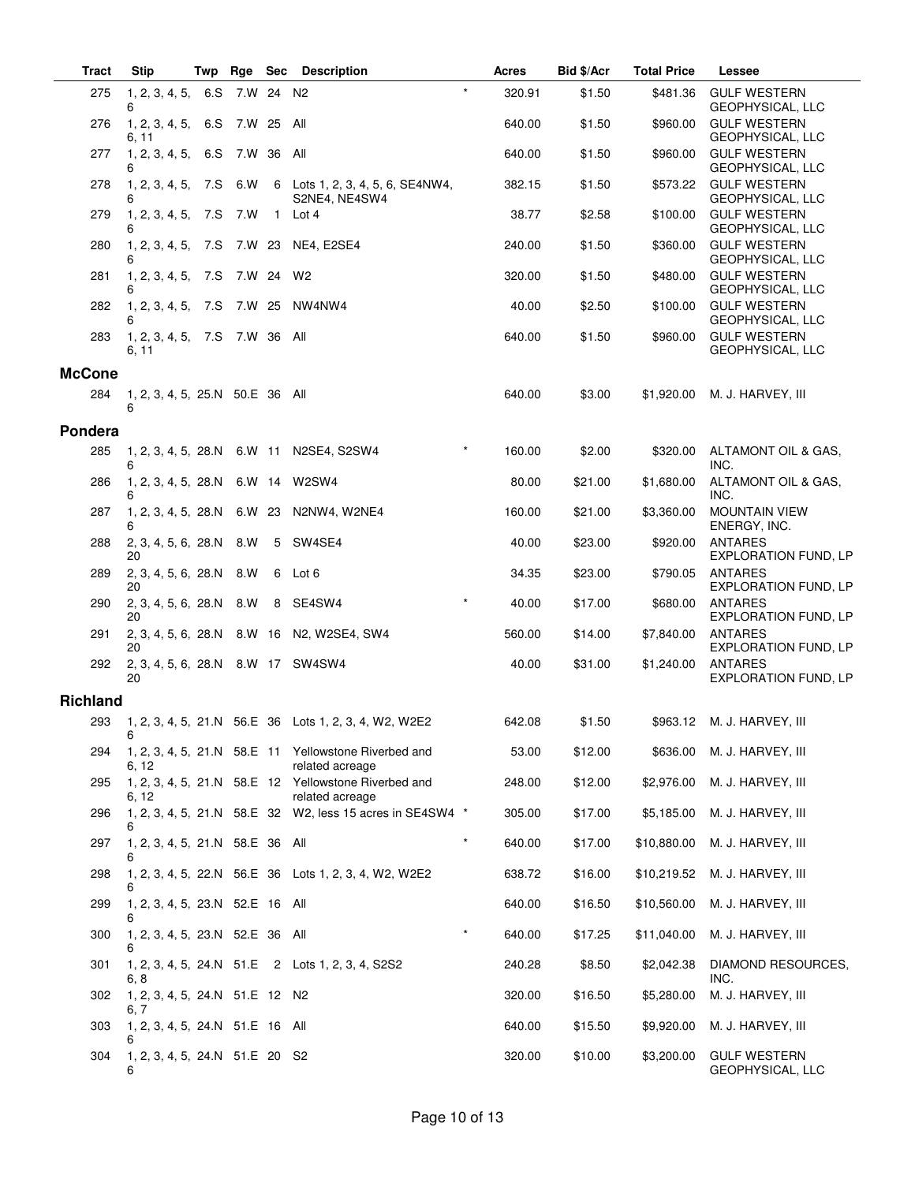| <b>Tract</b>    | <b>Stip</b>                             | Twp | Rge        | <b>Sec</b>   | <b>Description</b>                                                      |         | Acres  | Bid \$/Acr | <b>Total Price</b> | Lessee                                        |
|-----------------|-----------------------------------------|-----|------------|--------------|-------------------------------------------------------------------------|---------|--------|------------|--------------------|-----------------------------------------------|
| 275             | 1, 2, 3, 4, 5,<br>6                     | 6.S | 7.W 24 N2  |              |                                                                         | $\star$ | 320.91 | \$1.50     | \$481.36           | <b>GULF WESTERN</b><br>GEOPHYSICAL, LLC       |
| 276             | 1, 2, 3, 4, 5, 6.<br>6, 11              |     | 7.W 25 All |              |                                                                         |         | 640.00 | \$1.50     | \$960.00           | <b>GULF WESTERN</b><br>GEOPHYSICAL, LLC       |
| 277             | 1, 2, 3, 4, 5, 6. S<br>6                |     | 7.W 36 All |              |                                                                         |         | 640.00 | \$1.50     | \$960.00           | <b>GULF WESTERN</b><br>GEOPHYSICAL, LLC       |
| 278             | 1, 2, 3, 4, 5, 7. S<br>6                |     | 6.W        |              | 6 Lots 1, 2, 3, 4, 5, 6, SE4NW4,<br>S2NE4, NE4SW4                       |         | 382.15 | \$1.50     | \$573.22           | <b>GULF WESTERN</b><br>GEOPHYSICAL, LLC       |
| 279             | 1, 2, 3, 4, 5, 7. S<br>6                |     | 7.W        | $\mathbf{1}$ | Lot 4                                                                   |         | 38.77  | \$2.58     | \$100.00           | <b>GULF WESTERN</b><br>GEOPHYSICAL, LLC       |
| 280             | 1, 2, 3, 4, 5,<br>6                     | 7.S |            |              | 7.W 23 NE4, E2SE4                                                       |         | 240.00 | \$1.50     | \$360.00           | <b>GULF WESTERN</b><br>GEOPHYSICAL, LLC       |
| 281             | 1, 2, 3, 4, 5,<br>6                     | 7.S | 7.W 24     |              | W2                                                                      |         | 320.00 | \$1.50     | \$480.00           | <b>GULF WESTERN</b><br>GEOPHYSICAL, LLC       |
| 282             | 1, 2, 3, 4, 5, 7. S<br>6                |     | 7.W 25     |              | NW4NW4                                                                  |         | 40.00  | \$2.50     | \$100.00           | <b>GULF WESTERN</b><br>GEOPHYSICAL, LLC       |
| 283             | 1, 2, 3, 4, 5, 7.S<br>6, 11             |     | 7.W 36 All |              |                                                                         |         | 640.00 | \$1.50     | \$960.00           | <b>GULF WESTERN</b><br>GEOPHYSICAL, LLC       |
| <b>McCone</b>   |                                         |     |            |              |                                                                         |         |        |            |                    |                                               |
| 284             | 1, 2, 3, 4, 5, 25.N 50.E 36 All<br>6    |     |            |              |                                                                         |         | 640.00 | \$3.00     | \$1,920.00         | M. J. HARVEY, III                             |
| Pondera         |                                         |     |            |              |                                                                         |         |        |            |                    |                                               |
| 285             | 1, 2, 3, 4, 5, 28.N<br>6                |     | 6.W 11     |              | N2SE4, S2SW4                                                            |         | 160.00 | \$2.00     | \$320.00           | ALTAMONT OIL & GAS.<br>INC.                   |
| 286             | 1, 2, 3, 4, 5, 28.N<br>6                |     |            |              | 6.W 14 W2SW4                                                            |         | 80.00  | \$21.00    | \$1,680.00         | ALTAMONT OIL & GAS,<br>INC.                   |
| 287             | 1, 2, 3, 4, 5, 28.N<br>6                |     | 6.W 23     |              | N2NW4, W2NE4                                                            |         | 160.00 | \$21.00    | \$3,360.00         | <b>MOUNTAIN VIEW</b><br>ENERGY, INC.          |
| 288             | 2, 3, 4, 5, 6, 28.N<br>20               |     | 8.W        | 5            | SW4SE4                                                                  |         | 40.00  | \$23.00    | \$920.00           | <b>ANTARES</b><br>EXPLORATION FUND, LP        |
| 289             | 2, 3, 4, 5, 6, 28.N<br>20               |     | 8.W        | 6            | Lot 6                                                                   |         | 34.35  | \$23.00    | \$790.05           | <b>ANTARES</b><br><b>EXPLORATION FUND, LP</b> |
| 290             | 2, 3, 4, 5, 6, 28.N<br>20               |     | 8.W        |              | 8 SE4SW4                                                                |         | 40.00  | \$17.00    | \$680.00           | <b>ANTARES</b><br>EXPLORATION FUND, LP        |
| 291             | 2, 3, 4, 5, 6, 28.N<br>20               |     |            |              | 8.W 16 N2, W2SE4, SW4                                                   |         | 560.00 | \$14.00    | \$7,840.00         | <b>ANTARES</b><br><b>EXPLORATION FUND, LP</b> |
| 292             | 2, 3, 4, 5, 6, 28.N 8.W 17 SW4SW4<br>20 |     |            |              |                                                                         |         | 40.00  | \$31.00    | \$1,240.00         | <b>ANTARES</b><br><b>EXPLORATION FUND, LP</b> |
| <b>Richland</b> |                                         |     |            |              |                                                                         |         |        |            |                    |                                               |
| 293             | 6                                       |     |            |              | 1, 2, 3, 4, 5, 21.N 56.E 36 Lots 1, 2, 3, 4, W2, W2E2                   |         | 642.08 | \$1.50     |                    | \$963.12 M. J. HARVEY, III                    |
| 294             | 6, 12                                   |     |            |              | 1, 2, 3, 4, 5, 21.N 58.E 11 Yellowstone Riverbed and<br>related acreage |         | 53.00  | \$12.00    | \$636.00           | M. J. HARVEY, III                             |
| 295             | 6, 12                                   |     |            |              | 1, 2, 3, 4, 5, 21.N 58.E 12 Yellowstone Riverbed and<br>related acreage |         | 248.00 | \$12.00    | \$2,976.00         | M. J. HARVEY, III                             |
| 296             | 6                                       |     |            |              | 1, 2, 3, 4, 5, 21.N 58.E 32 W2, less 15 acres in SE4SW4 *               |         | 305.00 | \$17.00    | \$5,185.00         | M. J. HARVEY, III                             |
| 297             | 1, 2, 3, 4, 5, 21.N 58.E 36 All<br>6    |     |            |              |                                                                         | $\star$ | 640.00 | \$17.00    | \$10,880.00        | M. J. HARVEY, III                             |
| 298             |                                         |     |            |              | 1, 2, 3, 4, 5, 22.N 56.E 36 Lots 1, 2, 3, 4, W2, W2E2                   |         | 638.72 | \$16.00    | \$10,219.52        | M. J. HARVEY, III                             |
| 299             | 1, 2, 3, 4, 5, 23.N 52.E 16 All<br>6    |     |            |              |                                                                         |         | 640.00 | \$16.50    | \$10,560.00        | M. J. HARVEY, III                             |
| 300             | 1, 2, 3, 4, 5, 23.N 52.E 36 All<br>6    |     |            |              |                                                                         | $\ast$  | 640.00 | \$17.25    | \$11,040.00        | M. J. HARVEY, III                             |
| 301             | 6, 8                                    |     |            |              | 1, 2, 3, 4, 5, 24. N 51. E 2 Lots 1, 2, 3, 4, S2S2                      |         | 240.28 | \$8.50     | \$2,042.38         | DIAMOND RESOURCES,<br>INC.                    |
| 302             | 1, 2, 3, 4, 5, 24.N 51.E 12 N2<br>6, 7  |     |            |              |                                                                         |         | 320.00 | \$16.50    | \$5,280.00         | M. J. HARVEY, III                             |
| 303             | 1, 2, 3, 4, 5, 24.N 51.E 16 All<br>6    |     |            |              |                                                                         |         | 640.00 | \$15.50    | \$9,920.00         | M. J. HARVEY, III                             |
| 304             | 1, 2, 3, 4, 5, 24.N 51.E 20 S2<br>6     |     |            |              |                                                                         |         | 320.00 | \$10.00    | \$3,200.00         | <b>GULF WESTERN</b><br>GEOPHYSICAL, LLC       |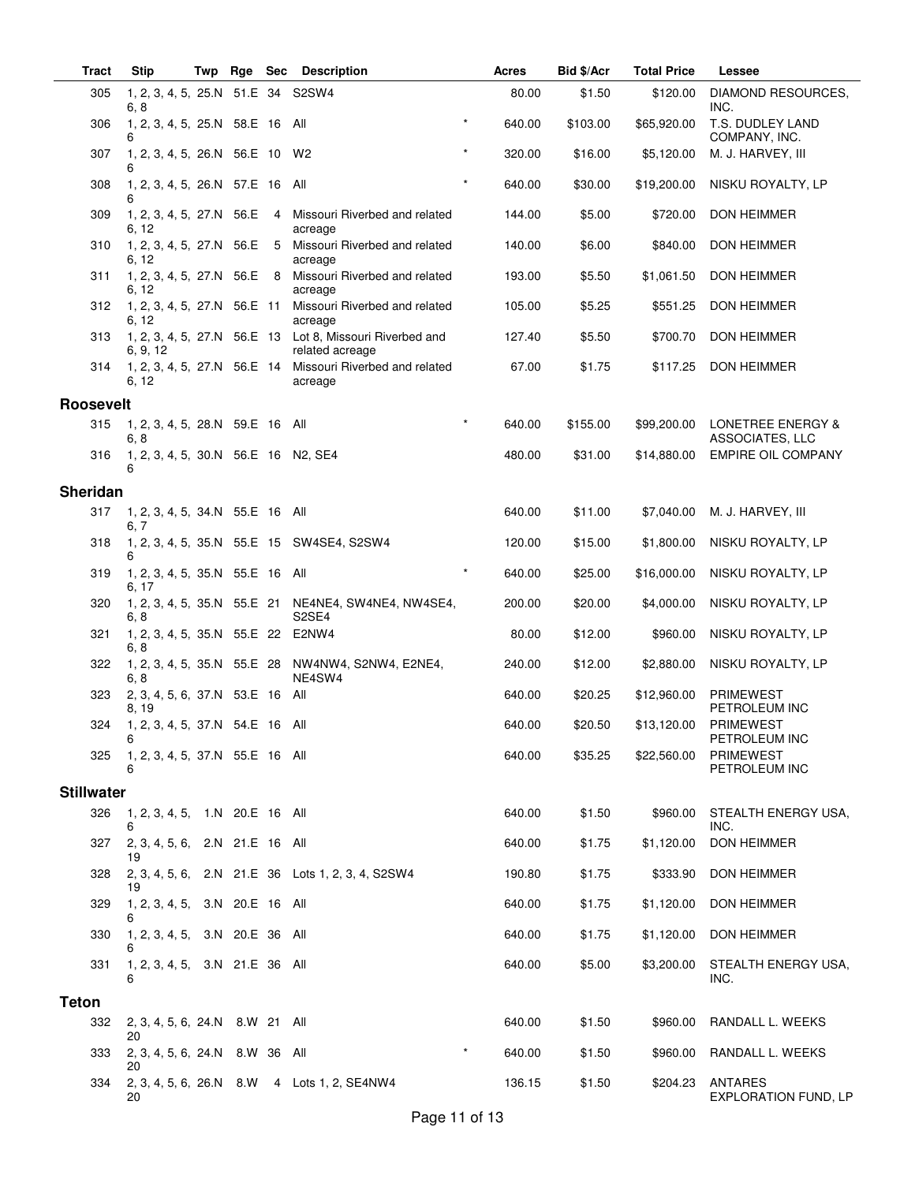| <b>Tract</b>      | <b>Stip</b>                               | Twp | Rge        | <b>Sec</b>     | <b>Description</b>                                                                      |         | Acres  | Bid \$/Acr | <b>Total Price</b> | <b>Lessee</b>                                   |
|-------------------|-------------------------------------------|-----|------------|----------------|-----------------------------------------------------------------------------------------|---------|--------|------------|--------------------|-------------------------------------------------|
| 305               | 1, 2, 3, 4, 5, 25.N 51.E 34 S2SW4<br>6, 8 |     |            |                |                                                                                         |         | 80.00  | \$1.50     | \$120.00           | DIAMOND RESOURCES,<br>INC.                      |
| 306               | 1, 2, 3, 4, 5, 25.N 58.E 16 All<br>6      |     |            |                |                                                                                         | $\star$ | 640.00 | \$103.00   | \$65,920.00        | T.S. DUDLEY LAND<br>COMPANY, INC.               |
| 307               | 1, 2, 3, 4, 5, 26.N 56.E 10 W2<br>6       |     |            |                |                                                                                         | $\star$ | 320.00 | \$16.00    | \$5,120.00         | M. J. HARVEY, III                               |
| 308               | 1, 2, 3, 4, 5, 26.N 57.E 16 All           |     |            |                |                                                                                         | $\star$ | 640.00 | \$30.00    | \$19,200.00        | NISKU ROYALTY, LP                               |
| 309               | 1, 2, 3, 4, 5, 27.N 56.E<br>6, 12         |     |            | $\overline{4}$ | Missouri Riverbed and related<br>acreage                                                |         | 144.00 | \$5.00     | \$720.00           | DON HEIMMER                                     |
| 310               | 1, 2, 3, 4, 5, 27.N 56.E<br>6, 12         |     |            | - 5            | Missouri Riverbed and related<br>acreage                                                |         | 140.00 | \$6.00     | \$840.00           | <b>DON HEIMMER</b>                              |
| 311               | 1, 2, 3, 4, 5, 27.N 56.E 8<br>6, 12       |     |            |                | Missouri Riverbed and related<br>acreage                                                |         | 193.00 | \$5.50     | \$1,061.50         | <b>DON HEIMMER</b>                              |
| 312               | 1, 2, 3, 4, 5, 27.N 56.E 11<br>6. 12      |     |            |                | Missouri Riverbed and related<br>acreage                                                |         | 105.00 | \$5.25     | \$551.25           | <b>DON HEIMMER</b>                              |
| 313               | 6, 9, 12                                  |     |            |                | 1, 2, 3, 4, 5, 27.N 56.E 13 Lot 8, Missouri Riverbed and<br>related acreage             |         | 127.40 | \$5.50     | \$700.70           | DON HEIMMER                                     |
| 314               | 6, 12                                     |     |            |                | 1, 2, 3, 4, 5, 27.N 56.E 14 Missouri Riverbed and related<br>acreage                    |         | 67.00  | \$1.75     | \$117.25           | <b>DON HEIMMER</b>                              |
| <b>Roosevelt</b>  |                                           |     |            |                |                                                                                         |         |        |            |                    |                                                 |
| 315               | 1, 2, 3, 4, 5, 28.N 59.E 16 All<br>6, 8   |     |            |                |                                                                                         |         | 640.00 | \$155.00   | \$99,200.00        | <b>LONETREE ENERGY &amp;</b><br>ASSOCIATES, LLC |
| 316               | 1, 2, 3, 4, 5, 30.N 56.E 16 N2, SE4<br>6  |     |            |                |                                                                                         |         | 480.00 | \$31.00    | \$14,880.00        | <b>EMPIRE OIL COMPANY</b>                       |
| <b>Sheridan</b>   |                                           |     |            |                |                                                                                         |         |        |            |                    |                                                 |
| 317               | 1, 2, 3, 4, 5, 34.N 55.E 16 All           |     |            |                |                                                                                         |         | 640.00 | \$11.00    | \$7,040.00         | M. J. HARVEY, III                               |
| 318               | 6, 7                                      |     |            |                | 1, 2, 3, 4, 5, 35.N 55.E 15 SW4SE4, S2SW4                                               |         | 120.00 | \$15.00    | \$1,800.00         | NISKU ROYALTY, LP                               |
| 319               | 1, 2, 3, 4, 5, 35.N 55.E 16 All<br>6, 17  |     |            |                |                                                                                         | $\star$ | 640.00 | \$25.00    | \$16,000.00        | NISKU ROYALTY, LP                               |
| 320               | 6, 8                                      |     |            |                | 1, 2, 3, 4, 5, 35. N 55. E 21 NE4NE4, SW4NE4, NW4SE4,<br>S <sub>2</sub> SE <sub>4</sub> |         | 200.00 | \$20.00    | \$4,000.00         | NISKU ROYALTY, LP                               |
| 321               | 1, 2, 3, 4, 5, 35.N 55.E 22 E2NW4<br>6, 8 |     |            |                |                                                                                         |         | 80.00  | \$12.00    | \$960.00           | NISKU ROYALTY, LP                               |
| 322               | 6.8                                       |     |            |                | 1, 2, 3, 4, 5, 35.N 55.E 28 NW4NW4, S2NW4, E2NE4,<br>NE4SW4                             |         | 240.00 | \$12.00    | \$2,880.00         | NISKU ROYALTY, LP                               |
| 323               | 2, 3, 4, 5, 6, 37.N 53.E 16 All<br>8, 19  |     |            |                |                                                                                         |         | 640.00 | \$20.25    | \$12,960.00        | <b>PRIMEWEST</b><br>PETROLEUM INC               |
| 324               | 1, 2, 3, 4, 5, 37.N 54.E 16 All<br>6      |     |            |                |                                                                                         |         | 640.00 | \$20.50    | \$13,120.00        | <b>PRIMEWEST</b><br>PETROLEUM INC               |
| 325               | 1, 2, 3, 4, 5, 37.N 55.E 16 All<br>6      |     |            |                |                                                                                         |         | 640.00 | \$35.25    | \$22,560.00        | <b>PRIMEWEST</b><br>PETROLEUM INC               |
| <b>Stillwater</b> |                                           |     |            |                |                                                                                         |         |        |            |                    |                                                 |
| 326               | 1, 2, 3, 4, 5, 1.N 20.E 16 All<br>6       |     |            |                |                                                                                         |         | 640.00 | \$1.50     | \$960.00           | STEALTH ENERGY USA,<br>INC.                     |
| 327               | 2, 3, 4, 5, 6, 2.N 21.E 16 All<br>19      |     |            |                |                                                                                         |         | 640.00 | \$1.75     | \$1,120.00         | DON HEIMMER                                     |
| 328               | 19                                        |     |            |                | 2, 3, 4, 5, 6, 2.N 21.E 36 Lots 1, 2, 3, 4, S2SW4                                       |         | 190.80 | \$1.75     | \$333.90           | DON HEIMMER                                     |
| 329               | 1, 2, 3, 4, 5, 3.N 20.E 16 All<br>6       |     |            |                |                                                                                         |         | 640.00 | \$1.75     | \$1,120.00         | DON HEIMMER                                     |
| 330               | 1, 2, 3, 4, 5, 3.N 20.E 36 All<br>6       |     |            |                |                                                                                         |         | 640.00 | \$1.75     | \$1,120.00         | DON HEIMMER                                     |
| 331               | 1, 2, 3, 4, 5, 3.N 21.E 36 All<br>6       |     |            |                |                                                                                         |         | 640.00 | \$5.00     | \$3,200.00         | STEALTH ENERGY USA,<br>INC.                     |
| <b>Teton</b>      |                                           |     |            |                |                                                                                         |         |        |            |                    |                                                 |
| 332               | 2, 3, 4, 5, 6, 24. N 8. W 21 All<br>20    |     |            |                |                                                                                         |         | 640.00 | \$1.50     | \$960.00           | RANDALL L. WEEKS                                |
| 333               | 2, 3, 4, 5, 6, 24.N<br>20                 |     | 8.W 36 All |                |                                                                                         |         | 640.00 | \$1.50     | \$960.00           | RANDALL L. WEEKS                                |
| 334               | 20                                        |     |            |                | 2, 3, 4, 5, 6, 26. N 8. W 4 Lots 1, 2, SE4NW4                                           |         | 136.15 | \$1.50     | \$204.23           | ANTARES<br>EXPLORATION FUND, LP                 |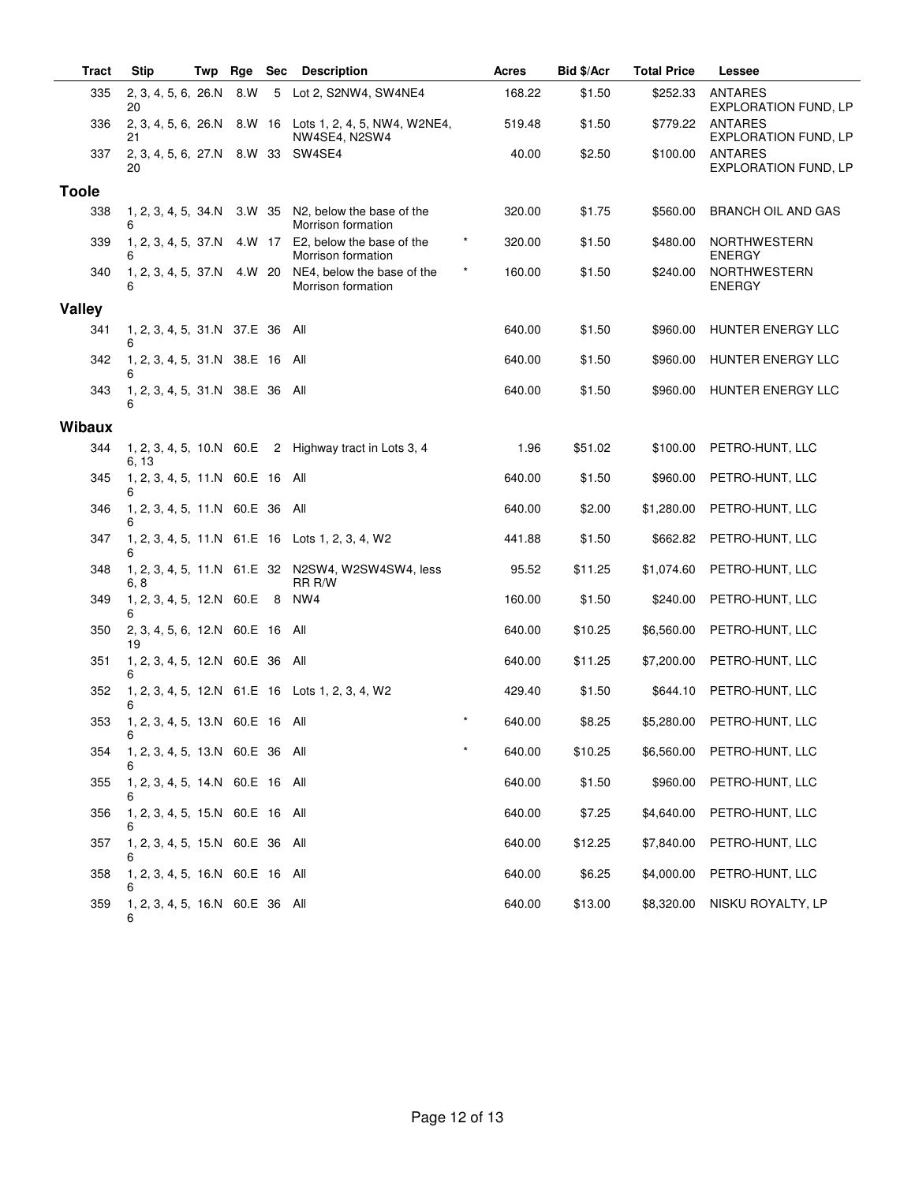| <b>Tract</b>  | <b>Stip</b>                           | Twp | Rge    | Sec | <b>Description</b>                                           |         | <b>Acres</b> | Bid \$/Acr | <b>Total Price</b> | Lessee                                        |
|---------------|---------------------------------------|-----|--------|-----|--------------------------------------------------------------|---------|--------------|------------|--------------------|-----------------------------------------------|
| 335           | 2, 3, 4, 5, 6, 26.N<br>20             |     | 8.W    | 5   | Lot 2, S2NW4, SW4NE4                                         |         | 168.22       | \$1.50     | \$252.33           | <b>ANTARES</b><br><b>EXPLORATION FUND, LP</b> |
| 336           | 2, 3, 4, 5, 6, 26.N<br>21             |     |        |     | 8.W 16 Lots 1, 2, 4, 5, NW4, W2NE4,<br>NW4SE4, N2SW4         |         | 519.48       | \$1.50     | \$779.22           | ANTARES<br><b>EXPLORATION FUND, LP</b>        |
| 337           | 2, 3, 4, 5, 6, 27.N<br>20             |     | 8.W 33 |     | SW4SE4                                                       |         | 40.00        | \$2.50     | \$100.00           | ANTARES<br><b>EXPLORATION FUND, LP</b>        |
| <b>Toole</b>  |                                       |     |        |     |                                                              |         |              |            |                    |                                               |
| 338           | 1, 2, 3, 4, 5, 34.N<br>6              |     | 3.W 35 |     | N <sub>2</sub> , below the base of the<br>Morrison formation |         | 320.00       | \$1.75     | \$560.00           | BRANCH OIL AND GAS                            |
| 339           | 1, 2, 3, 4, 5, 37.N<br>6              |     | 4.W 17 |     | E2, below the base of the<br>Morrison formation              | $\star$ | 320.00       | \$1.50     | \$480.00           | <b>NORTHWESTERN</b><br><b>ENERGY</b>          |
| 340           | 1, 2, 3, 4, 5, 37.N<br>6              |     | 4.W 20 |     | NE4, below the base of the<br>Morrison formation             | $\star$ | 160.00       | \$1.50     | \$240.00           | <b>NORTHWESTERN</b><br><b>ENERGY</b>          |
| Valley        |                                       |     |        |     |                                                              |         |              |            |                    |                                               |
| 341           | 1, 2, 3, 4, 5, 31.N 37.E 36           |     |        |     | All                                                          |         | 640.00       | \$1.50     | \$960.00           | HUNTER ENERGY LLC                             |
| 342           | 1, 2, 3, 4, 5, 31.N 38.E 16 All<br>6  |     |        |     |                                                              |         | 640.00       | \$1.50     | \$960.00           | HUNTER ENERGY LLC                             |
| 343           | 1, 2, 3, 4, 5, 31.N 38.E 36<br>6      |     |        |     | All                                                          |         | 640.00       | \$1.50     | \$960.00           | HUNTER ENERGY LLC                             |
| <b>Wibaux</b> |                                       |     |        |     |                                                              |         |              |            |                    |                                               |
| 344           | 1, 2, 3, 4, 5, 10.N 60.E<br>6, 13     |     |        |     | 2 Highway tract in Lots 3, 4                                 |         | 1.96         | \$51.02    | \$100.00           | PETRO-HUNT, LLC                               |
| 345           | 1, 2, 3, 4, 5, 11.N 60.E 16 All<br>6  |     |        |     |                                                              |         | 640.00       | \$1.50     | \$960.00           | PETRO-HUNT, LLC                               |
| 346           | 1, 2, 3, 4, 5, 11.N 60.E 36           |     |        |     | All                                                          |         | 640.00       | \$2.00     | \$1,280.00         | PETRO-HUNT, LLC                               |
| 347           | 6                                     |     |        |     | 1, 2, 3, 4, 5, 11.N 61.E 16 Lots 1, 2, 3, 4, W2              |         | 441.88       | \$1.50     | \$662.82           | PETRO-HUNT, LLC                               |
| 348           | 6, 8                                  |     |        |     | 1, 2, 3, 4, 5, 11.N 61.E 32 N2SW4, W2SW4SW4, less<br>RR R/W  |         | 95.52        | \$11.25    | \$1,074.60         | PETRO-HUNT, LLC                               |
| 349           | 1, 2, 3, 4, 5, 12.N 60.E<br>6         |     |        | 8   | NW4                                                          |         | 160.00       | \$1.50     | \$240.00           | PETRO-HUNT, LLC                               |
| 350           | 2, 3, 4, 5, 6, 12.N 60.E 16 All<br>19 |     |        |     |                                                              |         | 640.00       | \$10.25    | \$6,560.00         | PETRO-HUNT, LLC                               |
| 351           | 1, 2, 3, 4, 5, 12.N 60.E 36<br>6      |     |        |     | All                                                          |         | 640.00       | \$11.25    | \$7,200.00         | PETRO-HUNT, LLC                               |
| 352           | 6                                     |     |        |     | 1, 2, 3, 4, 5, 12.N 61.E 16 Lots 1, 2, 3, 4, W2              |         | 429.40       | \$1.50     | \$644.10           | PETRO-HUNT, LLC                               |
| 353           | 1, 2, 3, 4, 5, 13.N 60.E 16 All       |     |        |     |                                                              |         | 640.00       | \$8.25     | \$5,280.00         | PETRO-HUNT, LLC                               |
| 354           | 1, 2, 3, 4, 5, 13.N 60.E 36 All       |     |        |     |                                                              | $\star$ | 640.00       | \$10.25    | \$6,560.00         | PETRO-HUNT, LLC                               |
| 355           | 1, 2, 3, 4, 5, 14.N 60.E 16 All<br>6  |     |        |     |                                                              |         | 640.00       | \$1.50     | \$960.00           | PETRO-HUNT, LLC                               |
| 356           | 1, 2, 3, 4, 5, 15.N 60.E 16 All       |     |        |     |                                                              |         | 640.00       | \$7.25     | \$4,640.00         | PETRO-HUNT, LLC                               |
| 357           | 1, 2, 3, 4, 5, 15.N 60.E 36 All       |     |        |     |                                                              |         | 640.00       | \$12.25    | \$7,840.00         | PETRO-HUNT, LLC                               |
| 358           | 1, 2, 3, 4, 5, 16.N 60.E 16 All       |     |        |     |                                                              |         | 640.00       | \$6.25     | \$4,000.00         | PETRO-HUNT, LLC                               |
| 359           | 1, 2, 3, 4, 5, 16.N 60.E 36 All<br>6  |     |        |     |                                                              |         | 640.00       | \$13.00    | \$8,320.00         | NISKU ROYALTY, LP                             |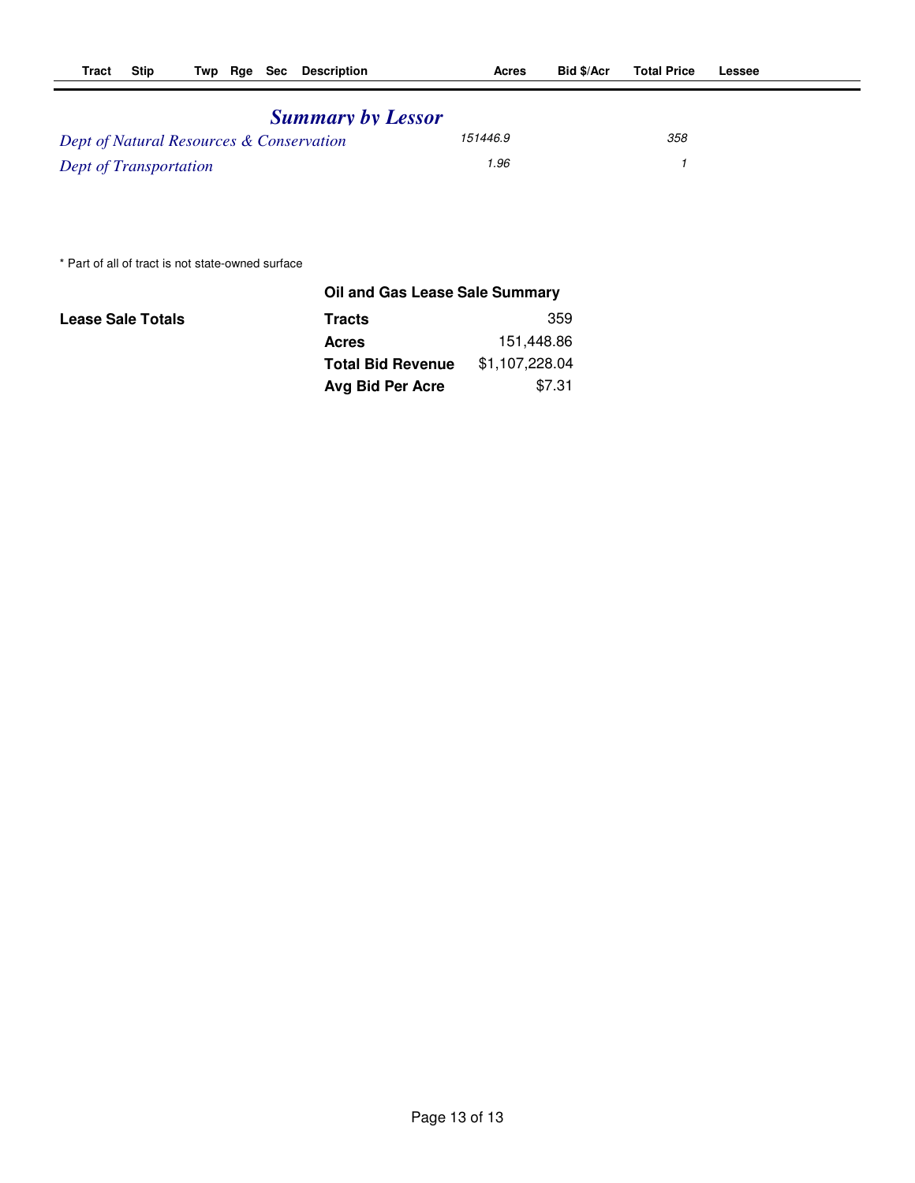| <b>Summary by Lessor</b>                 |          |     |  |
|------------------------------------------|----------|-----|--|
| Dept of Natural Resources & Conservation | 151446.9 | 358 |  |
| <b>Dept of Transportation</b>            | 1.96     |     |  |

\* Part of all of tract is not state-owned surface

|                          | Oil and Gas Lease Sale Summary |                |
|--------------------------|--------------------------------|----------------|
| <b>Lease Sale Totals</b> | <b>Tracts</b>                  | 359            |
|                          | <b>Acres</b>                   | 151,448.86     |
|                          | <b>Total Bid Revenue</b>       | \$1,107,228.04 |
|                          | Avg Bid Per Acre               | \$7.31         |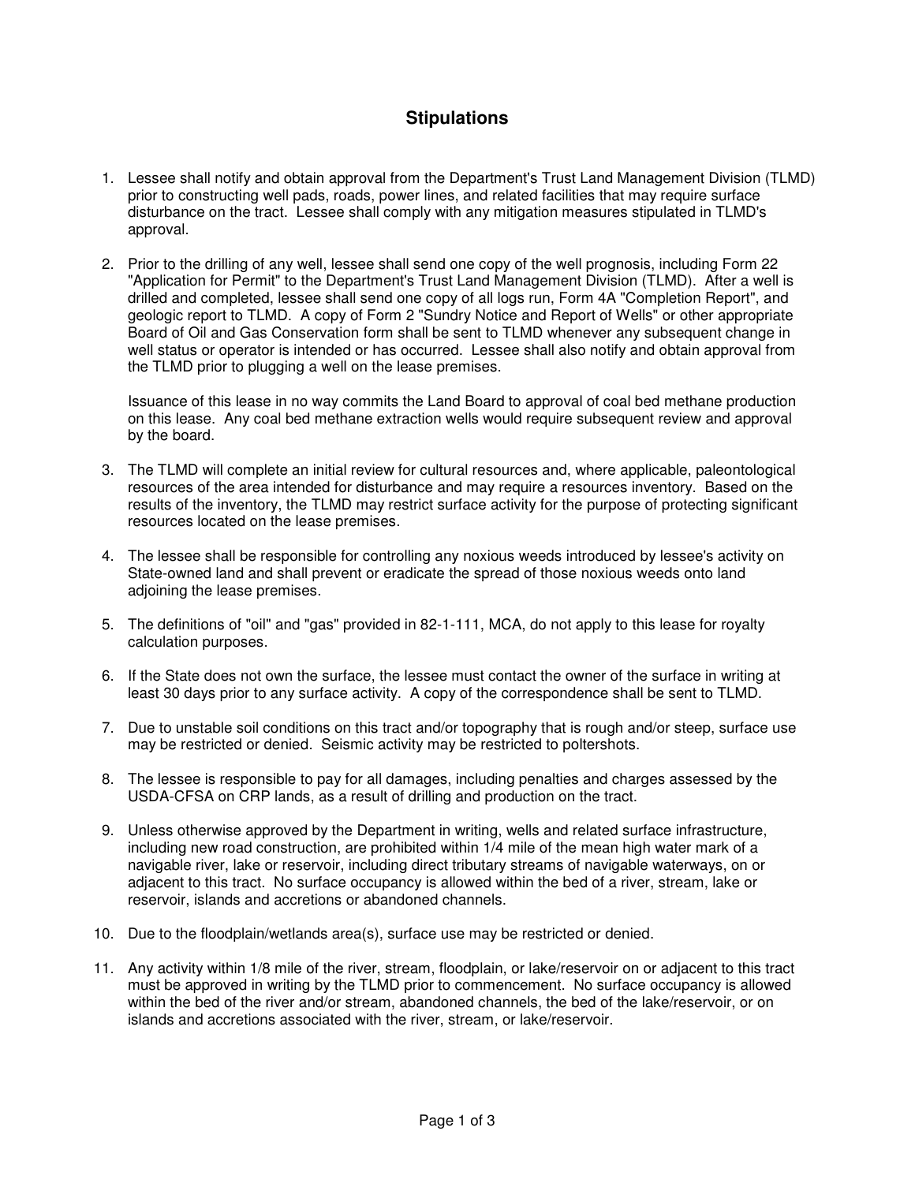## **Stipulations**

- 1. Lessee shall notify and obtain approval from the Department's Trust Land Management Division (TLMD) prior to constructing well pads, roads, power lines, and related facilities that may require surface disturbance on the tract. Lessee shall comply with any mitigation measures stipulated in TLMD's approval.
- 2. Prior to the drilling of any well, lessee shall send one copy of the well prognosis, including Form 22 "Application for Permit" to the Department's Trust Land Management Division (TLMD). After a well is drilled and completed, lessee shall send one copy of all logs run, Form 4A "Completion Report", and geologic report to TLMD. A copy of Form 2 "Sundry Notice and Report of Wells" or other appropriate Board of Oil and Gas Conservation form shall be sent to TLMD whenever any subsequent change in well status or operator is intended or has occurred. Lessee shall also notify and obtain approval from the TLMD prior to plugging a well on the lease premises.

 Issuance of this lease in no way commits the Land Board to approval of coal bed methane production on this lease. Any coal bed methane extraction wells would require subsequent review and approval by the board.

- 3. The TLMD will complete an initial review for cultural resources and, where applicable, paleontological resources of the area intended for disturbance and may require a resources inventory. Based on the results of the inventory, the TLMD may restrict surface activity for the purpose of protecting significant resources located on the lease premises.
- 4. The lessee shall be responsible for controlling any noxious weeds introduced by lessee's activity on State-owned land and shall prevent or eradicate the spread of those noxious weeds onto land adjoining the lease premises.
- 5. The definitions of "oil" and "gas" provided in 82-1-111, MCA, do not apply to this lease for royalty calculation purposes.
- 6. If the State does not own the surface, the lessee must contact the owner of the surface in writing at least 30 days prior to any surface activity. A copy of the correspondence shall be sent to TLMD.
- 7. Due to unstable soil conditions on this tract and/or topography that is rough and/or steep, surface use may be restricted or denied. Seismic activity may be restricted to poltershots.
- 8. The lessee is responsible to pay for all damages, including penalties and charges assessed by the USDA-CFSA on CRP lands, as a result of drilling and production on the tract.
- 9. Unless otherwise approved by the Department in writing, wells and related surface infrastructure, including new road construction, are prohibited within 1/4 mile of the mean high water mark of a navigable river, lake or reservoir, including direct tributary streams of navigable waterways, on or adjacent to this tract. No surface occupancy is allowed within the bed of a river, stream, lake or reservoir, islands and accretions or abandoned channels.
- 10. Due to the floodplain/wetlands area(s), surface use may be restricted or denied.
- 11. Any activity within 1/8 mile of the river, stream, floodplain, or lake/reservoir on or adjacent to this tract must be approved in writing by the TLMD prior to commencement. No surface occupancy is allowed within the bed of the river and/or stream, abandoned channels, the bed of the lake/reservoir, or on islands and accretions associated with the river, stream, or lake/reservoir.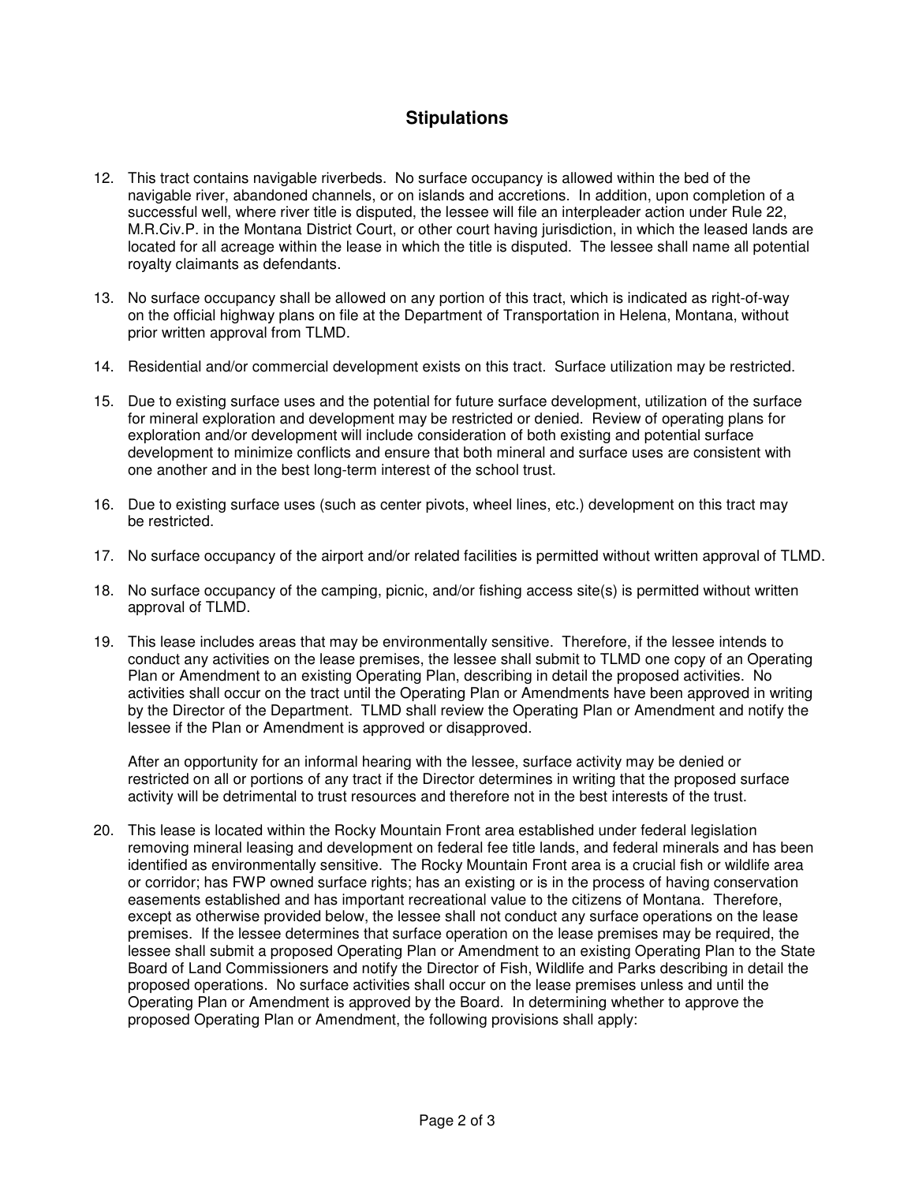## **Stipulations**

- 12. This tract contains navigable riverbeds. No surface occupancy is allowed within the bed of the navigable river, abandoned channels, or on islands and accretions. In addition, upon completion of a successful well, where river title is disputed, the lessee will file an interpleader action under Rule 22, M.R.Civ.P. in the Montana District Court, or other court having jurisdiction, in which the leased lands are located for all acreage within the lease in which the title is disputed. The lessee shall name all potential royalty claimants as defendants.
- 13. No surface occupancy shall be allowed on any portion of this tract, which is indicated as right-of-way on the official highway plans on file at the Department of Transportation in Helena, Montana, without prior written approval from TLMD.
- 14. Residential and/or commercial development exists on this tract. Surface utilization may be restricted.
- 15. Due to existing surface uses and the potential for future surface development, utilization of the surface for mineral exploration and development may be restricted or denied. Review of operating plans for exploration and/or development will include consideration of both existing and potential surface development to minimize conflicts and ensure that both mineral and surface uses are consistent with one another and in the best long-term interest of the school trust.
- 16. Due to existing surface uses (such as center pivots, wheel lines, etc.) development on this tract may be restricted.
- 17. No surface occupancy of the airport and/or related facilities is permitted without written approval of TLMD.
- 18. No surface occupancy of the camping, picnic, and/or fishing access site(s) is permitted without written approval of TLMD.
- 19. This lease includes areas that may be environmentally sensitive. Therefore, if the lessee intends to conduct any activities on the lease premises, the lessee shall submit to TLMD one copy of an Operating Plan or Amendment to an existing Operating Plan, describing in detail the proposed activities. No activities shall occur on the tract until the Operating Plan or Amendments have been approved in writing by the Director of the Department. TLMD shall review the Operating Plan or Amendment and notify the lessee if the Plan or Amendment is approved or disapproved.

 After an opportunity for an informal hearing with the lessee, surface activity may be denied or restricted on all or portions of any tract if the Director determines in writing that the proposed surface activity will be detrimental to trust resources and therefore not in the best interests of the trust.

 20. This lease is located within the Rocky Mountain Front area established under federal legislation removing mineral leasing and development on federal fee title lands, and federal minerals and has been identified as environmentally sensitive. The Rocky Mountain Front area is a crucial fish or wildlife area or corridor; has FWP owned surface rights; has an existing or is in the process of having conservation easements established and has important recreational value to the citizens of Montana. Therefore, except as otherwise provided below, the lessee shall not conduct any surface operations on the lease premises. If the lessee determines that surface operation on the lease premises may be required, the lessee shall submit a proposed Operating Plan or Amendment to an existing Operating Plan to the State Board of Land Commissioners and notify the Director of Fish, Wildlife and Parks describing in detail the proposed operations. No surface activities shall occur on the lease premises unless and until the Operating Plan or Amendment is approved by the Board. In determining whether to approve the proposed Operating Plan or Amendment, the following provisions shall apply: